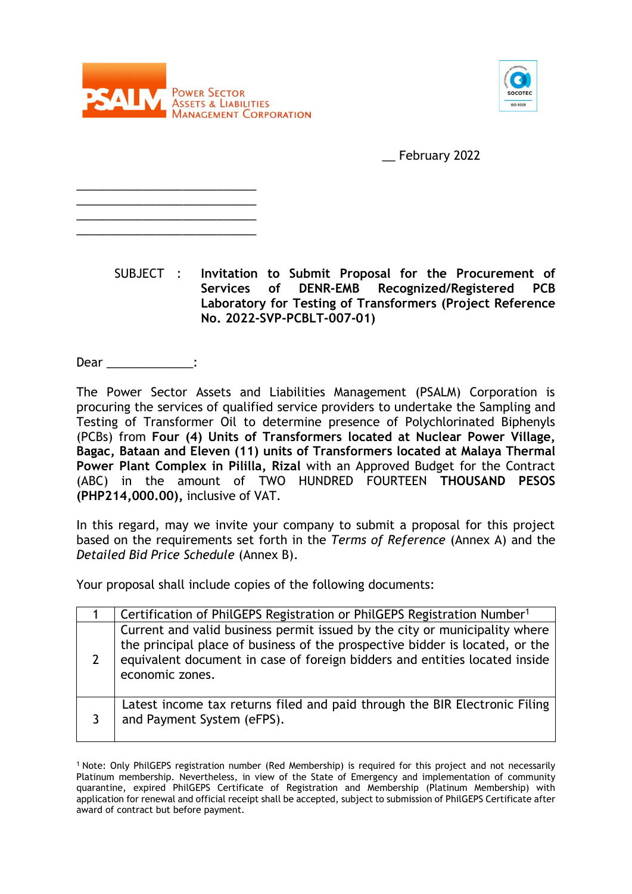

\_\_\_\_\_\_\_\_\_\_\_\_\_\_\_\_\_\_\_\_\_\_\_\_\_\_\_ \_\_\_\_\_\_\_\_\_\_\_\_\_\_\_\_\_\_\_\_\_\_\_\_\_\_\_ \_\_\_\_\_\_\_\_\_\_\_\_\_\_\_\_\_\_\_\_\_\_\_\_\_\_\_ \_\_\_\_\_\_\_\_\_\_\_\_\_\_\_\_\_\_\_\_\_\_\_\_\_\_\_



\_\_ February 2022

SUBJECT : **Invitation to Submit Proposal for the Procurement of Services of DENR-EMB Recognized/Registered PCB Laboratory for Testing of Transformers (Project Reference No. 2022-SVP-PCBLT-007-01)** 

Dear :

The Power Sector Assets and Liabilities Management (PSALM) Corporation is procuring the services of qualified service providers to undertake the Sampling and Testing of Transformer Oil to determine presence of Polychlorinated Biphenyls (PCBs) from **Four (4) Units of Transformers located at Nuclear Power Village, Bagac, Bataan and Eleven (11) units of Transformers located at Malaya Thermal Power Plant Complex in Pililla, Rizal** with an Approved Budget for the Contract (ABC) in the amount of TWO HUNDRED FOURTEEN **THOUSAND PESOS (PHP214,000.00),** inclusive of VAT.

In this regard, may we invite your company to submit a proposal for this project based on the requirements set forth in the *Terms of Reference* (Annex A) and the *Detailed Bid Price Schedule* (Annex B).

Your proposal shall include copies of the following documents:

|                | Certification of PhilGEPS Registration or PhilGEPS Registration Number <sup>1</sup>                                                                                                                                                                         |
|----------------|-------------------------------------------------------------------------------------------------------------------------------------------------------------------------------------------------------------------------------------------------------------|
| $\overline{2}$ | Current and valid business permit issued by the city or municipality where<br>the principal place of business of the prospective bidder is located, or the<br>equivalent document in case of foreign bidders and entities located inside<br>economic zones. |
|                | Latest income tax returns filed and paid through the BIR Electronic Filing<br>and Payment System (eFPS).                                                                                                                                                    |

<sup>1</sup> Note: Only PhilGEPS registration number (Red Membership) is required for this project and not necessarily Platinum membership. Nevertheless, in view of the State of Emergency and implementation of community quarantine, expired PhilGEPS Certificate of Registration and Membership (Platinum Membership) with application for renewal and official receipt shall be accepted, subject to submission of PhilGEPS Certificate after award of contract but before payment.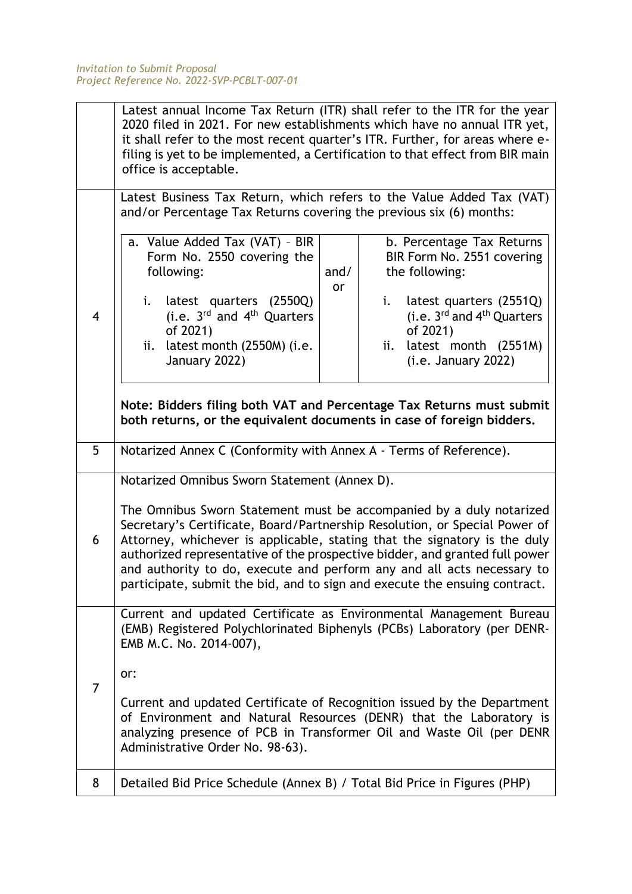|                                                                                                                                                                                                                                                           | Latest annual Income Tax Return (ITR) shall refer to the ITR for the year<br>2020 filed in 2021. For new establishments which have no annual ITR yet,<br>it shall refer to the most recent quarter's ITR. Further, for areas where e-<br>filing is yet to be implemented, a Certification to that effect from BIR main<br>office is acceptable.                                                                                                                       |  |                                                                                                                                                       |  |  |  |
|-----------------------------------------------------------------------------------------------------------------------------------------------------------------------------------------------------------------------------------------------------------|-----------------------------------------------------------------------------------------------------------------------------------------------------------------------------------------------------------------------------------------------------------------------------------------------------------------------------------------------------------------------------------------------------------------------------------------------------------------------|--|-------------------------------------------------------------------------------------------------------------------------------------------------------|--|--|--|
|                                                                                                                                                                                                                                                           | Latest Business Tax Return, which refers to the Value Added Tax (VAT)<br>and/or Percentage Tax Returns covering the previous six (6) months:                                                                                                                                                                                                                                                                                                                          |  |                                                                                                                                                       |  |  |  |
|                                                                                                                                                                                                                                                           | a. Value Added Tax (VAT) - BIR<br>b. Percentage Tax Returns<br>Form No. 2550 covering the<br>BIR Form No. 2551 covering<br>following:<br>and/<br>the following:<br>or                                                                                                                                                                                                                                                                                                 |  |                                                                                                                                                       |  |  |  |
| $\overline{4}$                                                                                                                                                                                                                                            | latest quarters (2550Q)<br>i.<br>(i.e. 3rd and 4 <sup>th</sup> Quarters<br>of 2021)<br>latest month (2550M) (i.e.<br>ii.<br>January 2022)                                                                                                                                                                                                                                                                                                                             |  | latest quarters (2551Q)<br>i.<br>(i.e. $3^{\text{rd}}$ and $4^{\text{th}}$ Quarters<br>of 2021)<br>latest month (2551M)<br>ii.<br>(i.e. January 2022) |  |  |  |
|                                                                                                                                                                                                                                                           | Note: Bidders filing both VAT and Percentage Tax Returns must submit<br>both returns, or the equivalent documents in case of foreign bidders.                                                                                                                                                                                                                                                                                                                         |  |                                                                                                                                                       |  |  |  |
| 5                                                                                                                                                                                                                                                         | Notarized Annex C (Conformity with Annex A - Terms of Reference).                                                                                                                                                                                                                                                                                                                                                                                                     |  |                                                                                                                                                       |  |  |  |
|                                                                                                                                                                                                                                                           | Notarized Omnibus Sworn Statement (Annex D).                                                                                                                                                                                                                                                                                                                                                                                                                          |  |                                                                                                                                                       |  |  |  |
| 6                                                                                                                                                                                                                                                         | The Omnibus Sworn Statement must be accompanied by a duly notarized<br>Secretary's Certificate, Board/Partnership Resolution, or Special Power of<br>Attorney, whichever is applicable, stating that the signatory is the duly<br>authorized representative of the prospective bidder, and granted full power<br>and authority to do, execute and perform any and all acts necessary to<br>participate, submit the bid, and to sign and execute the ensuing contract. |  |                                                                                                                                                       |  |  |  |
|                                                                                                                                                                                                                                                           | Current and updated Certificate as Environmental Management Bureau<br>(EMB) Registered Polychlorinated Biphenyls (PCBs) Laboratory (per DENR-<br>EMB M.C. No. 2014-007),                                                                                                                                                                                                                                                                                              |  |                                                                                                                                                       |  |  |  |
| 7                                                                                                                                                                                                                                                         | or:                                                                                                                                                                                                                                                                                                                                                                                                                                                                   |  |                                                                                                                                                       |  |  |  |
| Current and updated Certificate of Recognition issued by the Department<br>of Environment and Natural Resources (DENR) that the Laboratory is<br>analyzing presence of PCB in Transformer Oil and Waste Oil (per DENR<br>Administrative Order No. 98-63). |                                                                                                                                                                                                                                                                                                                                                                                                                                                                       |  |                                                                                                                                                       |  |  |  |
| 8                                                                                                                                                                                                                                                         | Detailed Bid Price Schedule (Annex B) / Total Bid Price in Figures (PHP)                                                                                                                                                                                                                                                                                                                                                                                              |  |                                                                                                                                                       |  |  |  |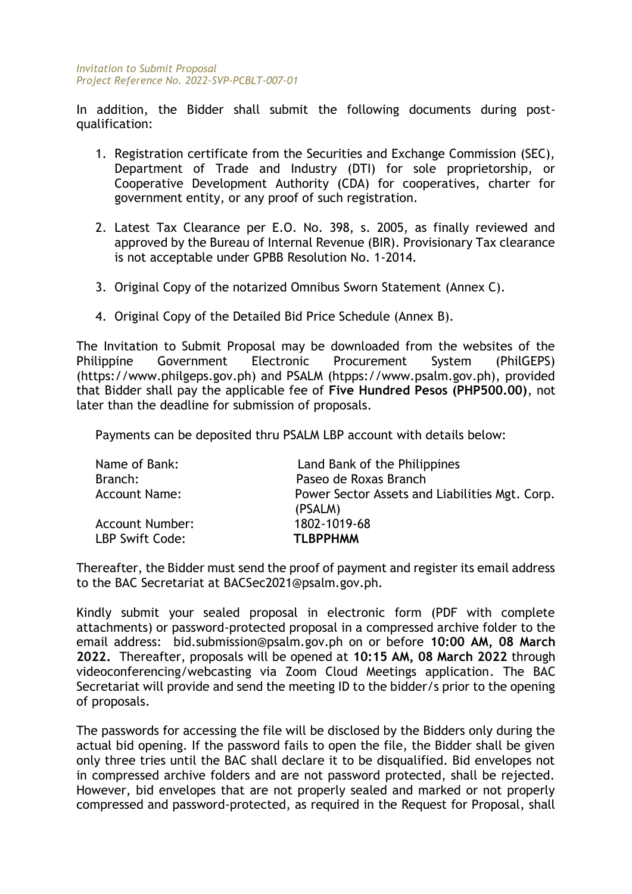In addition, the Bidder shall submit the following documents during postqualification:

- 1. Registration certificate from the Securities and Exchange Commission (SEC), Department of Trade and Industry (DTI) for sole proprietorship, or Cooperative Development Authority (CDA) for cooperatives, charter for government entity, or any proof of such registration.
- 2. Latest Tax Clearance per E.O. No. 398, s. 2005, as finally reviewed and approved by the Bureau of Internal Revenue (BIR). Provisionary Tax clearance is not acceptable under GPBB Resolution No. 1-2014.
- 3. Original Copy of the notarized Omnibus Sworn Statement (Annex C).
- 4. Original Copy of the Detailed Bid Price Schedule (Annex B).

The Invitation to Submit Proposal may be downloaded from the websites of the Philippine Government Electronic Procurement System (PhilGEPS) (https://www.philgeps.gov.ph) and PSALM (htpps://www.psalm.gov.ph), provided that Bidder shall pay the applicable fee of **Five Hundred Pesos (PHP500.00)**, not later than the deadline for submission of proposals.

Payments can be deposited thru PSALM LBP account with details below:

| Name of Bank:          | Land Bank of the Philippines                              |
|------------------------|-----------------------------------------------------------|
| Branch:                | Paseo de Roxas Branch                                     |
| <b>Account Name:</b>   | Power Sector Assets and Liabilities Mgt. Corp.<br>(PSALM) |
| <b>Account Number:</b> | 1802-1019-68                                              |
| LBP Swift Code:        | <b>TLBPPHMM</b>                                           |

Thereafter, the Bidder must send the proof of payment and register its email address to the BAC Secretariat at BACSec2021@psalm.gov.ph.

Kindly submit your sealed proposal in electronic form (PDF with complete attachments) or password-protected proposal in a compressed archive folder to the email address: bid.submission@psalm.gov.ph on or before **10:00 AM, 08 March 2022.** Thereafter, proposals will be opened at **10:15 AM, 08 March 2022** through videoconferencing/webcasting via Zoom Cloud Meetings application. The BAC Secretariat will provide and send the meeting ID to the bidder/s prior to the opening of proposals.

The passwords for accessing the file will be disclosed by the Bidders only during the actual bid opening. If the password fails to open the file, the Bidder shall be given only three tries until the BAC shall declare it to be disqualified. Bid envelopes not in compressed archive folders and are not password protected, shall be rejected. However, bid envelopes that are not properly sealed and marked or not properly compressed and password-protected, as required in the Request for Proposal, shall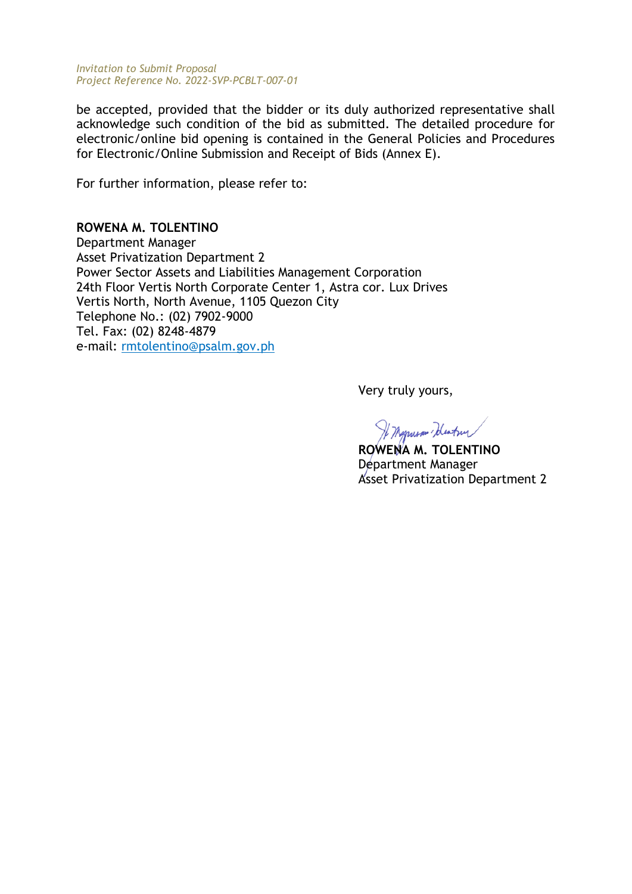be accepted, provided that the bidder or its duly authorized representative shall acknowledge such condition of the bid as submitted. The detailed procedure for electronic/online bid opening is contained in the General Policies and Procedures for Electronic/Online Submission and Receipt of Bids (Annex E).

For further information, please refer to:

# **ROWENA M. TOLENTINO**

Department Manager Asset Privatization Department 2 Power Sector Assets and Liabilities Management Corporation 24th Floor Vertis North Corporate Center 1, Astra cor. Lux Drives Vertis North, North Avenue, 1105 Quezon City Telephone No.: (02) 7902-9000 Tel. Fax: (02) 8248-4879 e-mail: rmtolentino@psalm.gov.ph

Very truly yours,

If Myrusan Wentur

**ROWENA M. TOLENTINO** Department Manager Asset Privatization Department 2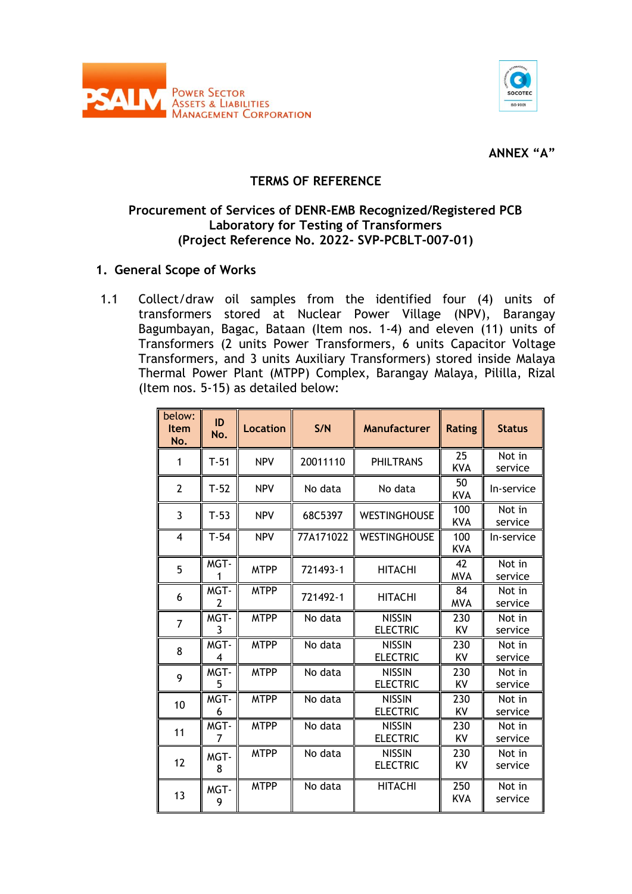



**ANNEX "A"**

# **TERMS OF REFERENCE**

# **Procurement of Services of DENR-EMB Recognized/Registered PCB Laboratory for Testing of Transformers (Project Reference No. 2022- SVP-PCBLT-007-01)**

# **1. General Scope of Works**

1.1 Collect/draw oil samples from the identified four (4) units of transformers stored at Nuclear Power Village (NPV), Barangay Bagumbayan, Bagac, Bataan (Item nos. 1-4) and eleven (11) units of Transformers (2 units Power Transformers, 6 units Capacitor Voltage Transformers, and 3 units Auxiliary Transformers) stored inside Malaya Thermal Power Plant (MTPP) Complex, Barangay Malaya, Pililla, Rizal (Item nos. 5-15) as detailed below:

| below:<br><b>Item</b><br>No. | ID<br>No. | Location    | S/N       | Manufacturer                     | <b>Rating</b>     | <b>Status</b>     |
|------------------------------|-----------|-------------|-----------|----------------------------------|-------------------|-------------------|
| $\mathbf{1}$                 | $T-51$    | <b>NPV</b>  | 20011110  | <b>PHILTRANS</b>                 | 25<br><b>KVA</b>  | Not in<br>service |
| $\overline{2}$               | $T-52$    | <b>NPV</b>  | No data   | No data                          | 50<br><b>KVA</b>  | In-service        |
| 3                            | $T-53$    | <b>NPV</b>  | 68C5397   | <b>WESTINGHOUSE</b>              | 100<br>KVA        | Not in<br>service |
| 4                            | $T-54$    | <b>NPV</b>  | 77A171022 | <b>WESTINGHOUSE</b>              | 100<br><b>KVA</b> | In-service        |
| 5                            | MGT-<br>1 | <b>MTPP</b> | 721493-1  | <b>HITACHI</b>                   | 42<br>MVA         | Not in<br>service |
| 6                            | MGT-<br>2 | <b>MTPP</b> | 721492-1  | <b>HITACHI</b>                   | 84<br><b>MVA</b>  | Not in<br>service |
| 7                            | MGT-<br>3 | <b>MTPP</b> | No data   | <b>NISSIN</b><br><b>ELECTRIC</b> | 230<br>KV         | Not in<br>service |
| 8                            | MGT-<br>4 | <b>MTPP</b> | No data   | <b>NISSIN</b><br><b>ELECTRIC</b> | 230<br>KV         | Not in<br>service |
| 9                            | MGT-<br>5 | <b>MTPP</b> | No data   | <b>NISSIN</b><br><b>ELECTRIC</b> | 230<br>KV         | Not in<br>service |
| 10                           | MGT-<br>6 | <b>MTPP</b> | No data   | <b>NISSIN</b><br><b>ELECTRIC</b> | 230<br>KV         | Not in<br>service |
| 11                           | MGT-<br>7 | <b>MTPP</b> | No data   | <b>NISSIN</b><br><b>ELECTRIC</b> | 230<br>KV         | Not in<br>service |
| 12                           | MGT-<br>8 | <b>MTPP</b> | No data   | <b>NISSIN</b><br><b>ELECTRIC</b> | 230<br>KV         | Not in<br>service |
| 13                           | MGT-<br>9 | <b>MTPP</b> | No data   | <b>HITACHI</b>                   | 250<br><b>KVA</b> | Not in<br>service |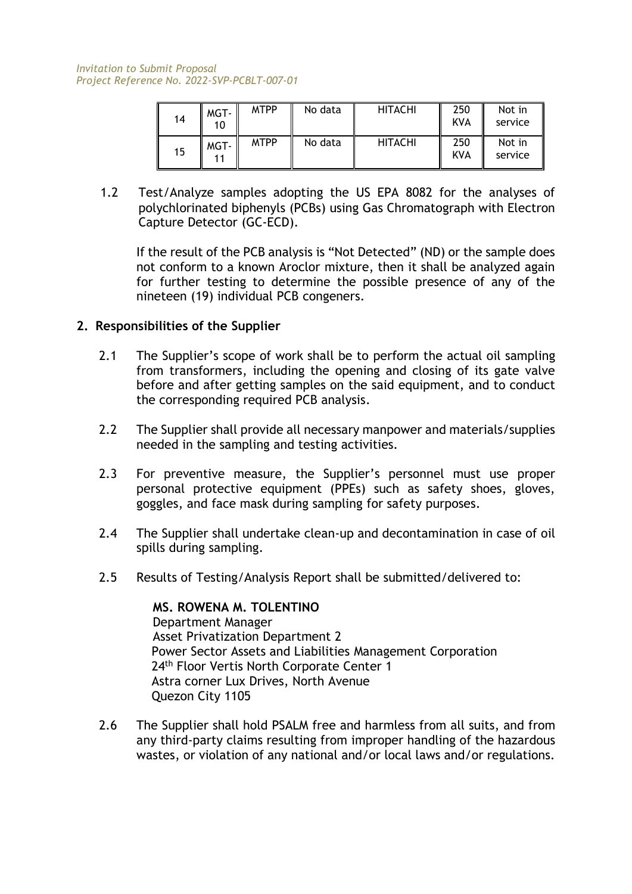| 14 | MGT-<br>10 | <b>MTPP</b> | No data | <b>HITACHI</b> | 250<br>KVA | Not in<br>service |
|----|------------|-------------|---------|----------------|------------|-------------------|
| 15 | MGT-       | <b>MTPP</b> | No data | <b>HITACHI</b> | 250<br>KVA | Not in<br>service |

1.2 Test/Analyze samples adopting the US EPA 8082 for the analyses of polychlorinated biphenyls (PCBs) using Gas Chromatograph with Electron Capture Detector (GC-ECD).

If the result of the PCB analysis is "Not Detected" (ND) or the sample does not conform to a known Aroclor mixture, then it shall be analyzed again for further testing to determine the possible presence of any of the nineteen (19) individual PCB congeners.

# **2. Responsibilities of the Supplier**

- 2.1 The Supplier's scope of work shall be to perform the actual oil sampling from transformers, including the opening and closing of its gate valve before and after getting samples on the said equipment, and to conduct the corresponding required PCB analysis.
- 2.2 The Supplier shall provide all necessary manpower and materials/supplies needed in the sampling and testing activities.
- 2.3 For preventive measure, the Supplier's personnel must use proper personal protective equipment (PPEs) such as safety shoes, gloves, goggles, and face mask during sampling for safety purposes.
- 2.4 The Supplier shall undertake clean-up and decontamination in case of oil spills during sampling.
- 2.5 Results of Testing/Analysis Report shall be submitted/delivered to:

**MS. ROWENA M. TOLENTINO** Department Manager Asset Privatization Department 2 Power Sector Assets and Liabilities Management Corporation 24<sup>th</sup> Floor Vertis North Corporate Center 1 Astra corner Lux Drives, North Avenue Quezon City 1105

2.6 The Supplier shall hold PSALM free and harmless from all suits, and from any third-party claims resulting from improper handling of the hazardous wastes, or violation of any national and/or local laws and/or regulations.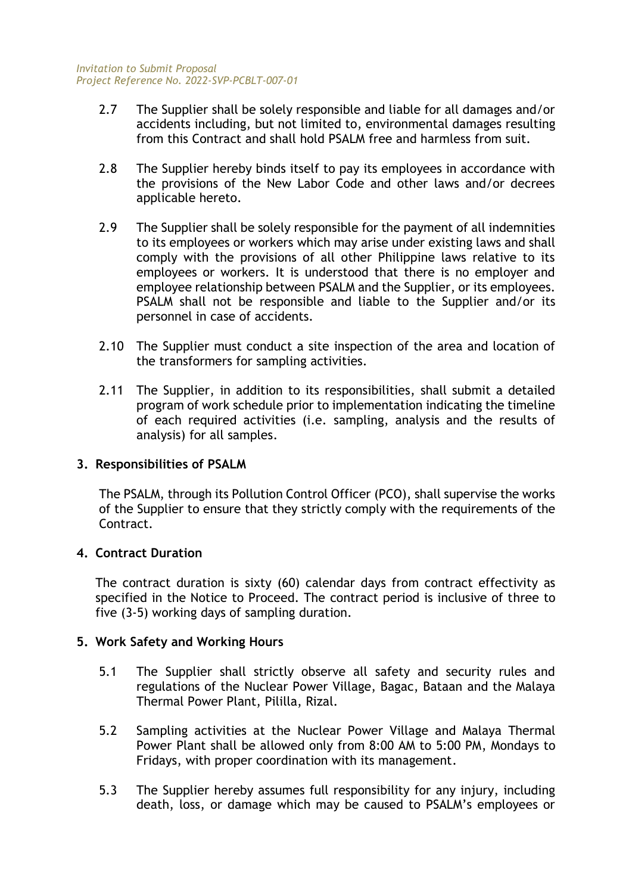- 2.7 The Supplier shall be solely responsible and liable for all damages and/or accidents including, but not limited to, environmental damages resulting from this Contract and shall hold PSALM free and harmless from suit.
- 2.8 The Supplier hereby binds itself to pay its employees in accordance with the provisions of the New Labor Code and other laws and/or decrees applicable hereto.
- 2.9 The Supplier shall be solely responsible for the payment of all indemnities to its employees or workers which may arise under existing laws and shall comply with the provisions of all other Philippine laws relative to its employees or workers. It is understood that there is no employer and employee relationship between PSALM and the Supplier, or its employees. PSALM shall not be responsible and liable to the Supplier and/or its personnel in case of accidents.
- 2.10 The Supplier must conduct a site inspection of the area and location of the transformers for sampling activities.
- 2.11 The Supplier, in addition to its responsibilities, shall submit a detailed program of work schedule prior to implementation indicating the timeline of each required activities (i.e. sampling, analysis and the results of analysis) for all samples.

# **3. Responsibilities of PSALM**

The PSALM, through its Pollution Control Officer (PCO), shall supervise the works of the Supplier to ensure that they strictly comply with the requirements of the Contract.

# **4. Contract Duration**

The contract duration is sixty (60) calendar days from contract effectivity as specified in the Notice to Proceed. The contract period is inclusive of three to five (3-5) working days of sampling duration.

# **5. Work Safety and Working Hours**

- 5.1 The Supplier shall strictly observe all safety and security rules and regulations of the Nuclear Power Village, Bagac, Bataan and the Malaya Thermal Power Plant, Pililla, Rizal.
- 5.2 Sampling activities at the Nuclear Power Village and Malaya Thermal Power Plant shall be allowed only from 8:00 AM to 5:00 PM, Mondays to Fridays, with proper coordination with its management.
- 5.3 The Supplier hereby assumes full responsibility for any injury, including death, loss, or damage which may be caused to PSALM's employees or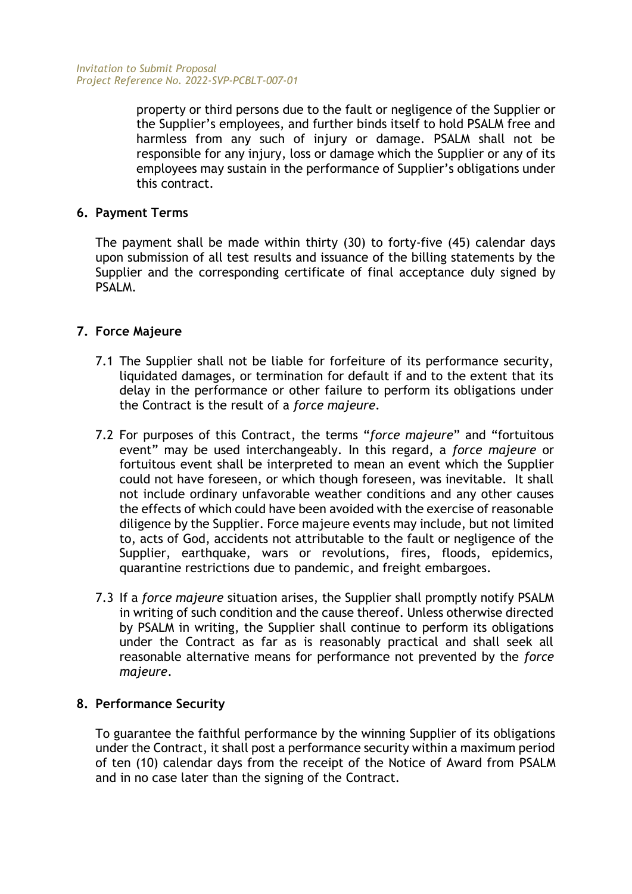property or third persons due to the fault or negligence of the Supplier or the Supplier's employees, and further binds itself to hold PSALM free and harmless from any such of injury or damage. PSALM shall not be responsible for any injury, loss or damage which the Supplier or any of its employees may sustain in the performance of Supplier's obligations under this contract.

# **6. Payment Terms**

The payment shall be made within thirty (30) to forty-five (45) calendar days upon submission of all test results and issuance of the billing statements by the Supplier and the corresponding certificate of final acceptance duly signed by PSALM.

# **7. Force Majeure**

- 7.1 The Supplier shall not be liable for forfeiture of its performance security, liquidated damages, or termination for default if and to the extent that its delay in the performance or other failure to perform its obligations under the Contract is the result of a *force majeure*.
- 7.2 For purposes of this Contract, the terms "*force majeure*" and "fortuitous event" may be used interchangeably. In this regard, a *force majeure* or fortuitous event shall be interpreted to mean an event which the Supplier could not have foreseen, or which though foreseen, was inevitable. It shall not include ordinary unfavorable weather conditions and any other causes the effects of which could have been avoided with the exercise of reasonable diligence by the Supplier. Force majeure events may include, but not limited to, acts of God, accidents not attributable to the fault or negligence of the Supplier, earthquake, wars or revolutions, fires, floods, epidemics, quarantine restrictions due to pandemic, and freight embargoes.
- 7.3 If a *force majeure* situation arises, the Supplier shall promptly notify PSALM in writing of such condition and the cause thereof. Unless otherwise directed by PSALM in writing, the Supplier shall continue to perform its obligations under the Contract as far as is reasonably practical and shall seek all reasonable alternative means for performance not prevented by the *force majeure*.

# **8. Performance Security**

To guarantee the faithful performance by the winning Supplier of its obligations under the Contract, it shall post a performance security within a maximum period of ten (10) calendar days from the receipt of the Notice of Award from PSALM and in no case later than the signing of the Contract.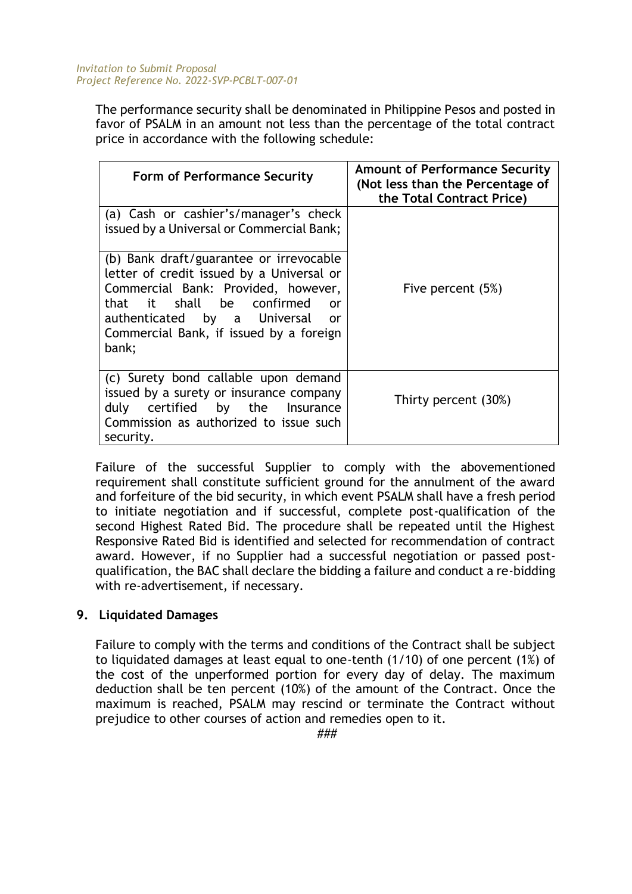The performance security shall be denominated in Philippine Pesos and posted in favor of PSALM in an amount not less than the percentage of the total contract price in accordance with the following schedule:

| <b>Form of Performance Security</b>                                                                                                                                                                                                                       | <b>Amount of Performance Security</b><br>(Not less than the Percentage of<br>the Total Contract Price) |
|-----------------------------------------------------------------------------------------------------------------------------------------------------------------------------------------------------------------------------------------------------------|--------------------------------------------------------------------------------------------------------|
| (a) Cash or cashier's/manager's check<br>issued by a Universal or Commercial Bank;                                                                                                                                                                        |                                                                                                        |
| (b) Bank draft/guarantee or irrevocable<br>letter of credit issued by a Universal or<br>Commercial Bank: Provided, however,<br>that it shall be confirmed<br>or<br>authenticated by a Universal<br>or<br>Commercial Bank, if issued by a foreign<br>bank; | Five percent (5%)                                                                                      |
| (c) Surety bond callable upon demand<br>issued by a surety or insurance company<br>duly certified by the Insurance<br>Commission as authorized to issue such<br>security.                                                                                 | Thirty percent (30%)                                                                                   |

Failure of the successful Supplier to comply with the abovementioned requirement shall constitute sufficient ground for the annulment of the award and forfeiture of the bid security, in which event PSALM shall have a fresh period to initiate negotiation and if successful, complete post-qualification of the second Highest Rated Bid. The procedure shall be repeated until the Highest Responsive Rated Bid is identified and selected for recommendation of contract award. However, if no Supplier had a successful negotiation or passed postqualification, the BAC shall declare the bidding a failure and conduct a re-bidding with re-advertisement, if necessary.

# **9. Liquidated Damages**

Failure to comply with the terms and conditions of the Contract shall be subject to liquidated damages at least equal to one-tenth (1/10) of one percent (1%) of the cost of the unperformed portion for every day of delay. The maximum deduction shall be ten percent (10%) of the amount of the Contract. Once the maximum is reached, PSALM may rescind or terminate the Contract without prejudice to other courses of action and remedies open to it.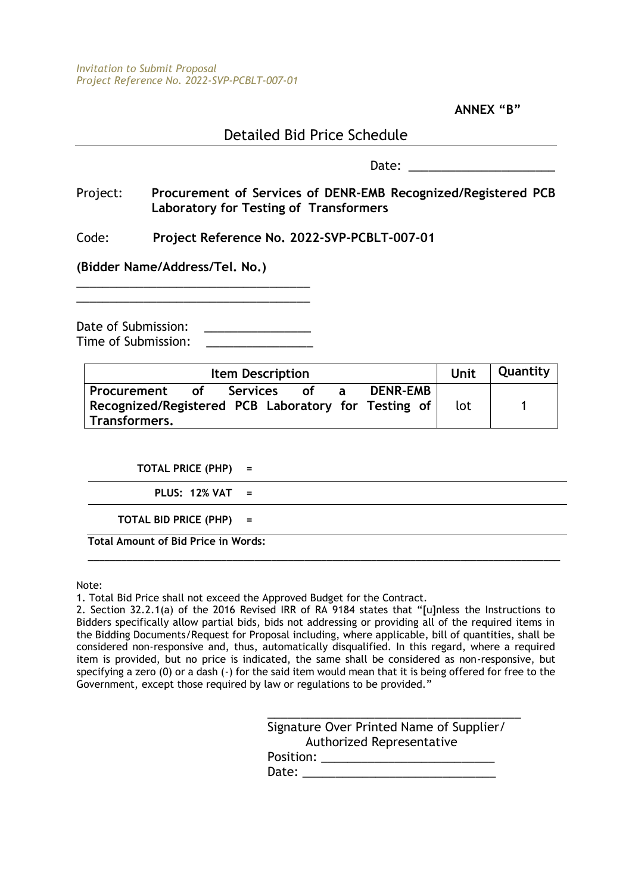**ANNEX "B"**

# Detailed Bid Price Schedule

Date:  $\Box$ 

Project: **Procurement of Services of DENR-EMB Recognized/Registered PCB Laboratory for Testing of Transformers**

Code: **Project Reference No. 2022-SVP-PCBLT-007-01**

**(Bidder Name/Address/Tel. No.)**

Date of Submission: \_\_\_\_\_\_\_\_\_\_\_\_\_\_\_\_ Time of Submission:

\_\_\_\_\_\_\_\_\_\_\_\_\_\_\_\_\_\_\_\_\_\_\_\_\_\_\_\_\_\_\_\_\_\_\_

| <b>Item Description</b>                                                             |    |          |      |  | Unit            | Quantity |  |
|-------------------------------------------------------------------------------------|----|----------|------|--|-----------------|----------|--|
| Procurement<br>Recognized/Registered PCB Laboratory for Testing of<br>Transformers. | of | Services | of a |  | <b>DENR-EMB</b> | lot      |  |

**TOTAL PRICE (PHP) =**

**PLUS: 12% VAT =**

**TOTAL BID PRICE (PHP) =**

**Total Amount of Bid Price in Words:**

Note:

1. Total Bid Price shall not exceed the Approved Budget for the Contract.

2. Section 32.2.1(a) of the 2016 Revised IRR of RA 9184 states that "[u]nless the Instructions to Bidders specifically allow partial bids, bids not addressing or providing all of the required items in the Bidding Documents/Request for Proposal including, where applicable, bill of quantities, shall be considered non-responsive and, thus, automatically disqualified. In this regard, where a required item is provided, but no price is indicated, the same shall be considered as non-responsive, but specifying a zero (0) or a dash (-) for the said item would mean that it is being offered for free to the Government, except those required by law or regulations to be provided."

\_\_\_\_\_\_\_\_\_\_\_\_\_\_\_\_\_\_\_\_\_\_\_\_\_\_\_\_\_\_\_\_\_\_\_\_\_\_\_\_\_\_\_\_\_\_\_\_\_\_\_\_\_\_\_\_\_\_\_\_\_\_\_\_\_\_\_\_\_\_\_\_\_\_\_\_\_\_\_\_\_\_\_\_\_

| Signature Over Printed Name of Supplier/ |
|------------------------------------------|
| Authorized Representative                |
| Position:                                |
| Date:                                    |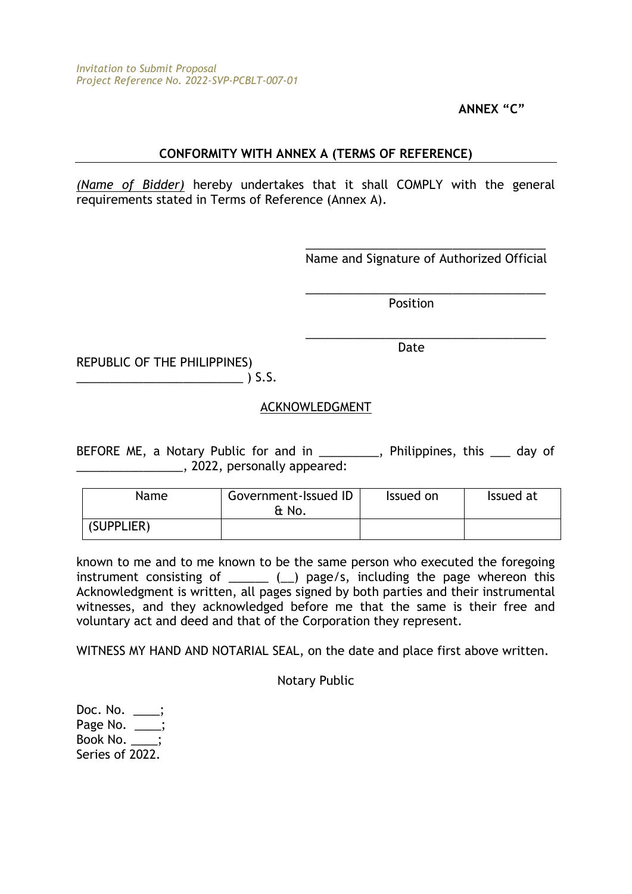**ANNEX "C"**

# **CONFORMITY WITH ANNEX A (TERMS OF REFERENCE)**

*(Name of Bidder)* hereby undertakes that it shall COMPLY with the general requirements stated in Terms of Reference (Annex A).

> \_\_\_\_\_\_\_\_\_\_\_\_\_\_\_\_\_\_\_\_\_\_\_\_\_\_\_\_\_\_\_\_\_\_\_\_ Name and Signature of Authorized Official

\_\_\_\_\_\_\_\_\_\_\_\_\_\_\_\_\_\_\_\_\_\_\_\_\_\_\_\_\_\_\_\_\_\_\_\_

\_\_\_\_\_\_\_\_\_\_\_\_\_\_\_\_\_\_\_\_\_\_\_\_\_\_\_\_\_\_\_\_\_\_\_\_

Position

Date

REPUBLIC OF THE PHILIPPINES)  $\sim$  ) S.S.

# ACKNOWLEDGMENT

BEFORE ME, a Notary Public for and in \_\_\_\_\_\_\_\_\_, Philippines, this \_\_\_ day of \_\_\_\_\_\_\_\_\_\_\_\_\_\_\_\_, 2022, personally appeared:

| Name       | Government-Issued ID<br>& No. | Issued on | Issued at |
|------------|-------------------------------|-----------|-----------|
| (SUPPLIER) |                               |           |           |

known to me and to me known to be the same person who executed the foregoing instrument consisting of  $($  ) page/s, including the page whereon this Acknowledgment is written, all pages signed by both parties and their instrumental witnesses, and they acknowledged before me that the same is their free and voluntary act and deed and that of the Corporation they represent.

WITNESS MY HAND AND NOTARIAL SEAL, on the date and place first above written.

Notary Public

Doc. No. \_\_ Page No. \_\_\_; Book No. Series of 2022.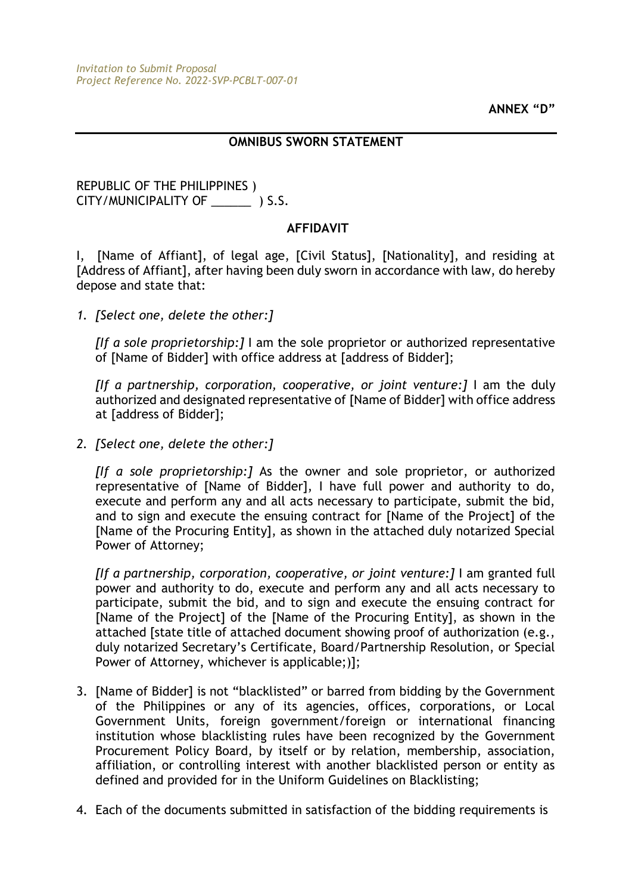#### **OMNIBUS SWORN STATEMENT**

# REPUBLIC OF THE PHILIPPINES ) CITY/MUNICIPALITY OF \_\_\_\_\_\_ ) S.S.

# **AFFIDAVIT**

I, [Name of Affiant], of legal age, [Civil Status], [Nationality], and residing at [Address of Affiant], after having been duly sworn in accordance with law, do hereby depose and state that:

*1. [Select one, delete the other:]*

*[If a sole proprietorship:]* I am the sole proprietor or authorized representative of [Name of Bidder] with office address at [address of Bidder];

*[If a partnership, corporation, cooperative, or joint venture:]* I am the duly authorized and designated representative of [Name of Bidder] with office address at [address of Bidder];

*2. [Select one, delete the other:]*

*[If a sole proprietorship:]* As the owner and sole proprietor, or authorized representative of [Name of Bidder], I have full power and authority to do, execute and perform any and all acts necessary to participate, submit the bid, and to sign and execute the ensuing contract for [Name of the Project] of the [Name of the Procuring Entity], as shown in the attached duly notarized Special Power of Attorney;

*[If a partnership, corporation, cooperative, or joint venture:]* I am granted full power and authority to do, execute and perform any and all acts necessary to participate, submit the bid, and to sign and execute the ensuing contract for [Name of the Project] of the [Name of the Procuring Entity], as shown in the attached [state title of attached document showing proof of authorization (e.g., duly notarized Secretary's Certificate, Board/Partnership Resolution, or Special Power of Attorney, whichever is applicable;)];

- 3. [Name of Bidder] is not "blacklisted" or barred from bidding by the Government of the Philippines or any of its agencies, offices, corporations, or Local Government Units, foreign government/foreign or international financing institution whose blacklisting rules have been recognized by the Government Procurement Policy Board, by itself or by relation, membership, association, affiliation, or controlling interest with another blacklisted person or entity as defined and provided for in the Uniform Guidelines on Blacklisting;
- 4. Each of the documents submitted in satisfaction of the bidding requirements is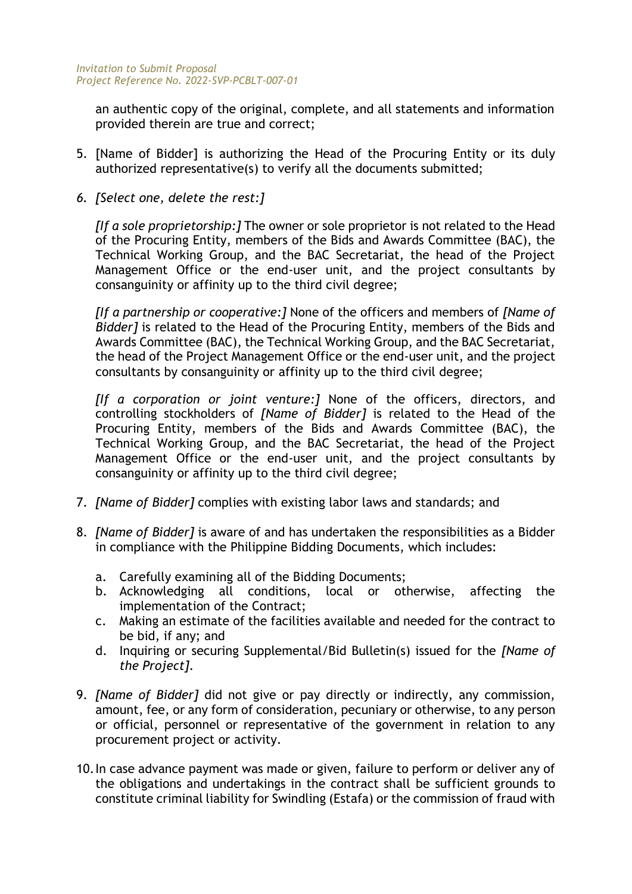an authentic copy of the original, complete, and all statements and information provided therein are true and correct;

- 5. [Name of Bidder] is authorizing the Head of the Procuring Entity or its duly authorized representative(s) to verify all the documents submitted;
- *6. [Select one, delete the rest:]*

*[If a sole proprietorship:]* The owner or sole proprietor is not related to the Head of the Procuring Entity, members of the Bids and Awards Committee (BAC), the Technical Working Group, and the BAC Secretariat, the head of the Project Management Office or the end-user unit, and the project consultants by consanguinity or affinity up to the third civil degree;

*[If a partnership or cooperative:]* None of the officers and members of *[Name of Bidder]* is related to the Head of the Procuring Entity, members of the Bids and Awards Committee (BAC), the Technical Working Group, and the BAC Secretariat, the head of the Project Management Office or the end-user unit, and the project consultants by consanguinity or affinity up to the third civil degree;

*[If a corporation or joint venture:]* None of the officers, directors, and controlling stockholders of *[Name of Bidder]* is related to the Head of the Procuring Entity, members of the Bids and Awards Committee (BAC), the Technical Working Group, and the BAC Secretariat, the head of the Project Management Office or the end-user unit, and the project consultants by consanguinity or affinity up to the third civil degree;

- 7. *[Name of Bidder]* complies with existing labor laws and standards; and
- 8. *[Name of Bidder]* is aware of and has undertaken the responsibilities as a Bidder in compliance with the Philippine Bidding Documents, which includes:
	- a. Carefully examining all of the Bidding Documents;
	- b. Acknowledging all conditions, local or otherwise, affecting the implementation of the Contract;
	- c. Making an estimate of the facilities available and needed for the contract to be bid, if any; and
	- d. Inquiring or securing Supplemental/Bid Bulletin(s) issued for the *[Name of the Project]*.
- 9. *[Name of Bidder]* did not give or pay directly or indirectly, any commission, amount, fee, or any form of consideration, pecuniary or otherwise, to any person or official, personnel or representative of the government in relation to any procurement project or activity.
- 10.In case advance payment was made or given, failure to perform or deliver any of the obligations and undertakings in the contract shall be sufficient grounds to constitute criminal liability for Swindling (Estafa) or the commission of fraud with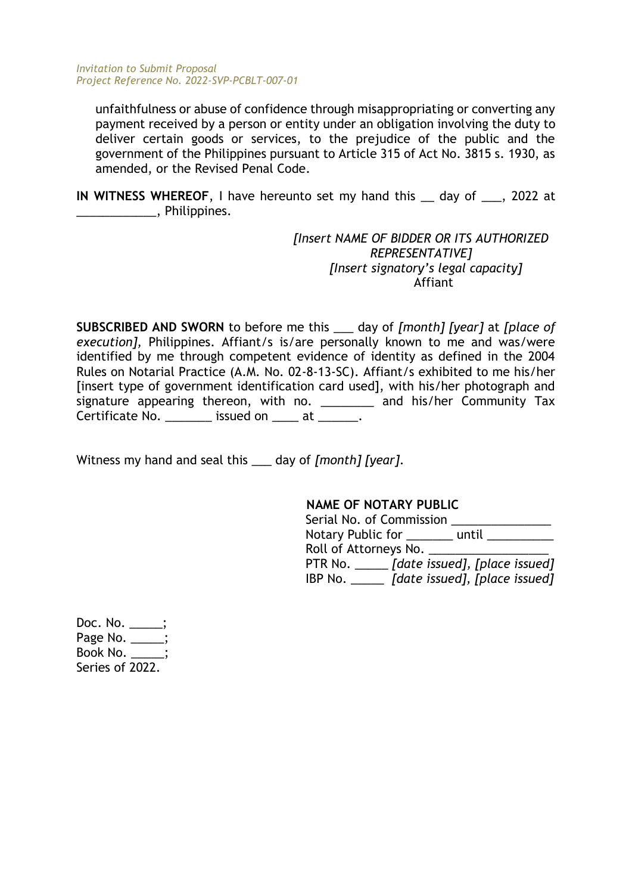unfaithfulness or abuse of confidence through misappropriating or converting any payment received by a person or entity under an obligation involving the duty to deliver certain goods or services, to the prejudice of the public and the government of the Philippines pursuant to Article 315 of Act No. 3815 s. 1930, as amended, or the Revised Penal Code.

**IN WITNESS WHEREOF**, I have hereunto set my hand this \_\_ day of \_\_\_, 2022 at \_\_\_\_\_\_\_\_\_\_\_\_, Philippines.

> *[Insert NAME OF BIDDER OR ITS AUTHORIZED REPRESENTATIVE] [Insert signatory's legal capacity]* Affiant

**SUBSCRIBED AND SWORN** to before me this \_\_\_ day of *[month] [year]* at *[place of execution],* Philippines. Affiant/s is/are personally known to me and was/were identified by me through competent evidence of identity as defined in the 2004 Rules on Notarial Practice (A.M. No. 02-8-13-SC). Affiant/s exhibited to me his/her [insert type of government identification card used], with his/her photograph and signature appearing thereon, with no. \_\_\_\_\_\_\_ and his/her Community Tax Certificate No. This issued on the at the set of the set of the set of the set of the set of the set of the set o

Witness my hand and seal this \_\_\_ day of *[month] [year]*.

#### **NAME OF NOTARY PUBLIC**

| Serial No. of Commission |                                              |
|--------------------------|----------------------------------------------|
| Notary Public for        | until                                        |
| Roll of Attorneys No.    |                                              |
|                          | PTR No. ______ [date issued], [place issued] |
| IBP No.                  | [date issued], [place issued]                |

Doc. No. \_\_\_\_\_; Page No. \_\_\_\_; Book No. \_\_\_\_\_; Series of 2022.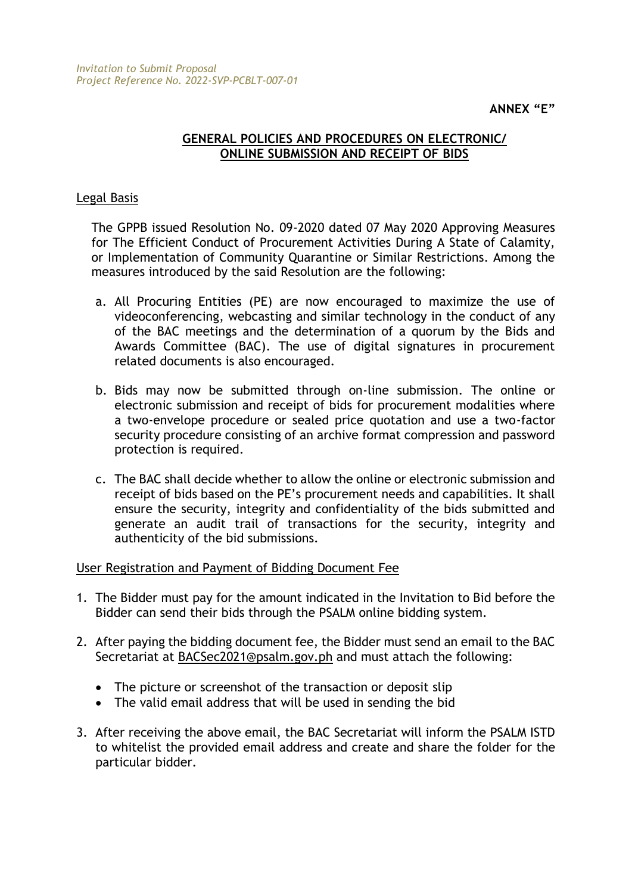# **GENERAL POLICIES AND PROCEDURES ON ELECTRONIC/ ONLINE SUBMISSION AND RECEIPT OF BIDS**

# Legal Basis

The GPPB issued Resolution No. 09-2020 dated 07 May 2020 Approving Measures for The Efficient Conduct of Procurement Activities During A State of Calamity, or Implementation of Community Quarantine or Similar Restrictions. Among the measures introduced by the said Resolution are the following:

- a. All Procuring Entities (PE) are now encouraged to maximize the use of videoconferencing, webcasting and similar technology in the conduct of any of the BAC meetings and the determination of a quorum by the Bids and Awards Committee (BAC). The use of digital signatures in procurement related documents is also encouraged.
- b. Bids may now be submitted through on-line submission. The online or electronic submission and receipt of bids for procurement modalities where a two-envelope procedure or sealed price quotation and use a two-factor security procedure consisting of an archive format compression and password protection is required.
- c. The BAC shall decide whether to allow the online or electronic submission and receipt of bids based on the PE's procurement needs and capabilities. It shall ensure the security, integrity and confidentiality of the bids submitted and generate an audit trail of transactions for the security, integrity and authenticity of the bid submissions.

User Registration and Payment of Bidding Document Fee

- 1. The Bidder must pay for the amount indicated in the Invitation to Bid before the Bidder can send their bids through the PSALM online bidding system.
- 2. After paying the bidding document fee, the Bidder must send an email to the BAC Secretariat at [BACSec2021@psalm.gov.ph](mailto:BACSec2021@psalm.gov.ph) and must attach the following:
	- The picture or screenshot of the transaction or deposit slip
	- The valid email address that will be used in sending the bid
- 3. After receiving the above email, the BAC Secretariat will inform the PSALM ISTD to whitelist the provided email address and create and share the folder for the particular bidder.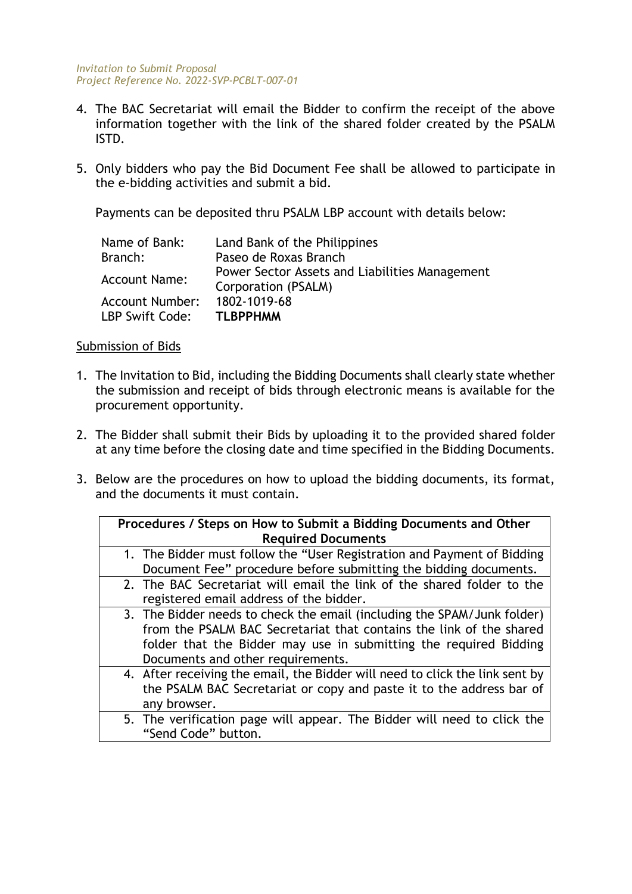- 4. The BAC Secretariat will email the Bidder to confirm the receipt of the above information together with the link of the shared folder created by the PSALM ISTD.
- 5. Only bidders who pay the Bid Document Fee shall be allowed to participate in the e-bidding activities and submit a bid.

Payments can be deposited thru PSALM LBP account with details below:

| Name of Bank:                             | Land Bank of the Philippines                                          |
|-------------------------------------------|-----------------------------------------------------------------------|
| Branch:                                   | Paseo de Roxas Branch                                                 |
| <b>Account Name:</b>                      | Power Sector Assets and Liabilities Management<br>Corporation (PSALM) |
| <b>Account Number:</b><br>LBP Swift Code: | 1802-1019-68<br><b>TLBPPHMM</b>                                       |

#### Submission of Bids

- 1. The Invitation to Bid, including the Bidding Documents shall clearly state whether the submission and receipt of bids through electronic means is available for the procurement opportunity.
- 2. The Bidder shall submit their Bids by uploading it to the provided shared folder at any time before the closing date and time specified in the Bidding Documents.
- 3. Below are the procedures on how to upload the bidding documents, its format, and the documents it must contain.

| Procedures / Steps on How to Submit a Bidding Documents and Other            |
|------------------------------------------------------------------------------|
| <b>Required Documents</b>                                                    |
| 1. The Bidder must follow the "User Registration and Payment of Bidding      |
| Document Fee" procedure before submitting the bidding documents.             |
| 2. The BAC Secretariat will email the link of the shared folder to the       |
| registered email address of the bidder.                                      |
| 3. The Bidder needs to check the email (including the SPAM/Junk folder)      |
| from the PSALM BAC Secretariat that contains the link of the shared          |
| folder that the Bidder may use in submitting the required Bidding            |
| Documents and other requirements.                                            |
| 4. After receiving the email, the Bidder will need to click the link sent by |
| the PSALM BAC Secretariat or copy and paste it to the address bar of         |
| any browser.                                                                 |
| 5. The verification page will appear. The Bidder will need to click the      |
| "Send Code" button.                                                          |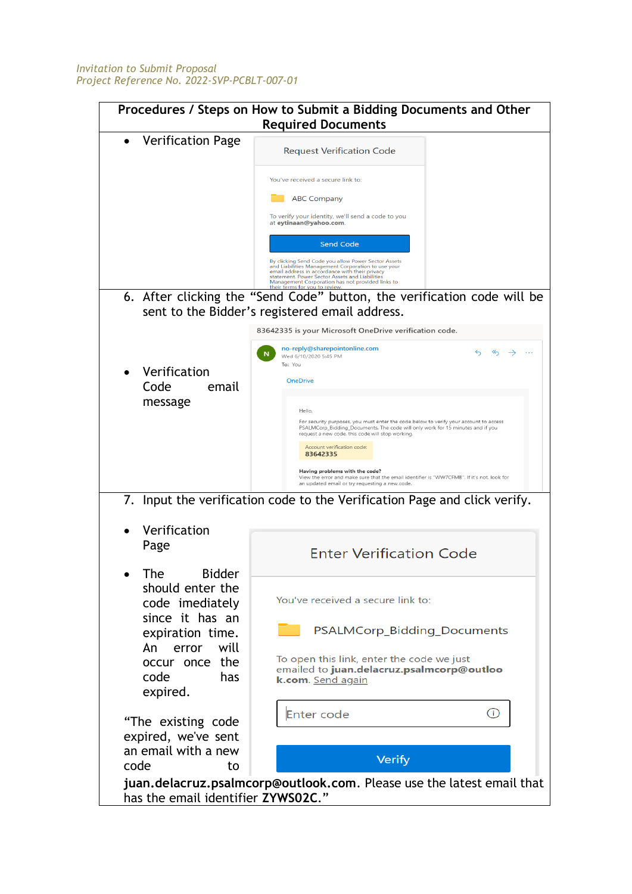| Procedures / Steps on How to Submit a Bidding Documents and Other<br><b>Required Documents</b>                                                                         |                                                                                                                                                                                                                                                                                                                                                                                                                                                                                                                                                                   |  |  |  |
|------------------------------------------------------------------------------------------------------------------------------------------------------------------------|-------------------------------------------------------------------------------------------------------------------------------------------------------------------------------------------------------------------------------------------------------------------------------------------------------------------------------------------------------------------------------------------------------------------------------------------------------------------------------------------------------------------------------------------------------------------|--|--|--|
| <b>Verification Page</b>                                                                                                                                               | <b>Request Verification Code</b><br>You've received a secure link to:<br><b>ABC Company</b><br>To verify your identity, we'll send a code to you<br>at eytinaan@yahoo.com.<br><b>Send Code</b>                                                                                                                                                                                                                                                                                                                                                                    |  |  |  |
|                                                                                                                                                                        | By clicking Send Code you allow Power Sector Assets<br>and Liabilities Management Corporation to use your<br>email address in accordance with their privacy<br>statement. Power Sector Assets and Liabilities<br>Management Corporation has not provided links to<br>6. After clicking the "Send Code" button, the verification code will be<br>sent to the Bidder's registered email address.                                                                                                                                                                    |  |  |  |
| Verification<br>Code<br>email<br>message                                                                                                                               | 83642335 is your Microsoft OneDrive verification code.<br>no-reply@sharepointonline.com<br>Wed 6/10/2020 5:45 PM<br>To: You<br><b>OneDrive</b><br>Hello,<br>For security purposes, you must enter the code below to verify your account to access<br>PSALMCorp_Bidding_Documents. The code will only work for 15 minutes and if you<br>request a new code, this code will stop working.<br>Account verification code:<br>83642335<br>Having problems with the code?<br>View the error and make sure that the email identifier is "WW7CFMB". If it's not, look for |  |  |  |
| Verification<br>Page                                                                                                                                                   | an updated email or try requesting a new code.<br>7. Input the verification code to the Verification Page and click verify.<br><b>Enter Verification Code</b>                                                                                                                                                                                                                                                                                                                                                                                                     |  |  |  |
| <b>Bidder</b><br>The<br>should enter the<br>code imediately<br>since it has an<br>expiration time.<br>will<br>An<br>error<br>occur once the<br>code<br>has<br>expired. | You've received a secure link to:<br>PSALMCorp_Bidding_Documents<br>To open this link, enter the code we just<br>emailed to juan.delacruz.psalmcorp@outloo<br>k.com. Send again                                                                                                                                                                                                                                                                                                                                                                                   |  |  |  |
| "The existing code<br>expired, we've sent<br>an email with a new<br>code<br>to                                                                                         | (i)<br>Enter code<br><b>Verify</b><br>juan.delacruz.psalmcorp@outlook.com. Please use the latest email that                                                                                                                                                                                                                                                                                                                                                                                                                                                       |  |  |  |
| has the email identifier ZYWS02C."                                                                                                                                     |                                                                                                                                                                                                                                                                                                                                                                                                                                                                                                                                                                   |  |  |  |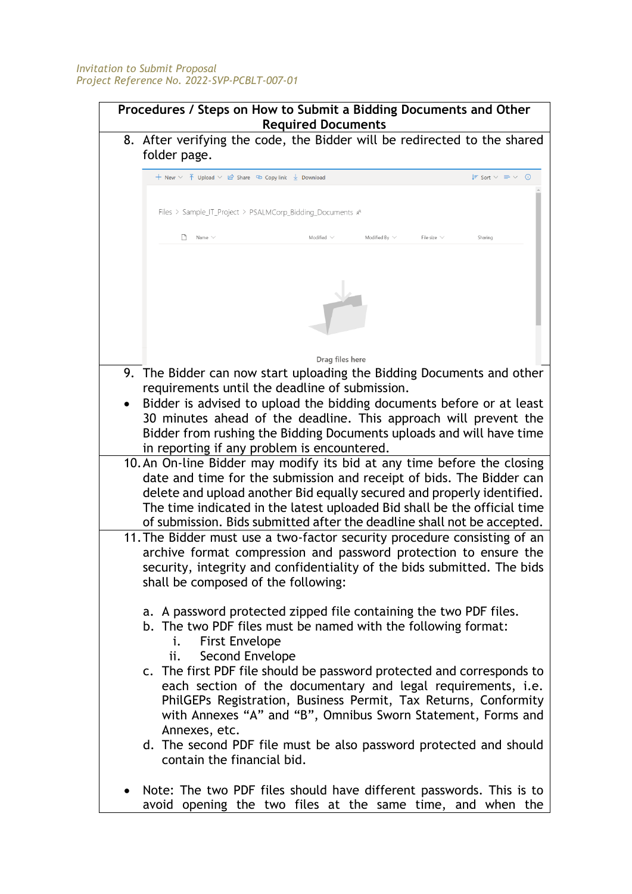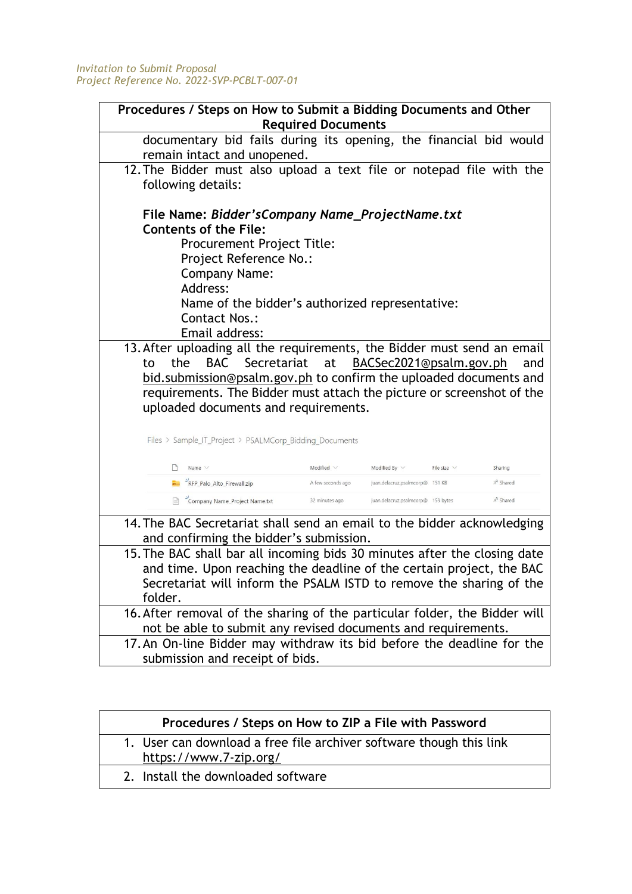| Procedures / Steps on How to Submit a Bidding Documents and Other                                                                                                                                                                                                                                                                                            | <b>Required Documents</b> |                                    |                  |                       |
|--------------------------------------------------------------------------------------------------------------------------------------------------------------------------------------------------------------------------------------------------------------------------------------------------------------------------------------------------------------|---------------------------|------------------------------------|------------------|-----------------------|
| documentary bid fails during its opening, the financial bid would<br>remain intact and unopened.                                                                                                                                                                                                                                                             |                           |                                    |                  |                       |
| 12. The Bidder must also upload a text file or notepad file with the<br>following details:                                                                                                                                                                                                                                                                   |                           |                                    |                  |                       |
| File Name: Bidder's Company Name_Project Name.txt<br><b>Contents of the File:</b><br><b>Procurement Project Title:</b><br>Project Reference No.:<br><b>Company Name:</b><br>Address:<br>Name of the bidder's authorized representative:<br><b>Contact Nos.:</b><br>Email address:<br>13. After uploading all the requirements, the Bidder must send an email |                           |                                    |                  |                       |
| BACSec2021@psalm.gov.ph<br>BAC<br>Secretariat<br>at<br>the<br>and<br>to<br>bid.submission@psalm.gov.ph to confirm the uploaded documents and<br>requirements. The Bidder must attach the picture or screenshot of the<br>uploaded documents and requirements.<br>Files > Sample_IT_Project > PSALMCorp_Bidding_Documents                                     |                           |                                    |                  |                       |
| ۱۹<br>Name $\vee$                                                                                                                                                                                                                                                                                                                                            | Modified $\vee$           | Modified By $\vee$                 | File size $\vee$ | Sharing               |
| "RFP_Palo_Alto_Firewall.zip                                                                                                                                                                                                                                                                                                                                  | A few seconds ago         | juan.delacruz.psalmcorp@ 151 KB    |                  | & <sup>R</sup> Shared |
| <sup>2</sup> Company Name_Project Name.txt                                                                                                                                                                                                                                                                                                                   | 32 minutes ago            | juan.delacruz.psalmcorp@ 159 bytes |                  | $x^R$ Shared          |
| 14. The BAC Secretariat shall send an email to the bidder acknowledging<br>and confirming the bidder's submission.<br>15. The BAC shall bar all incoming bids 30 minutes after the closing date<br>and time. Upon reaching the deadline of the certain project, the BAC                                                                                      |                           |                                    |                  |                       |
| Secretariat will inform the PSALM ISTD to remove the sharing of the<br>folder.                                                                                                                                                                                                                                                                               |                           |                                    |                  |                       |
|                                                                                                                                                                                                                                                                                                                                                              |                           |                                    |                  |                       |
| 16. After removal of the sharing of the particular folder, the Bidder will<br>not be able to submit any revised documents and requirements.<br>17. An On-line Bidder may withdraw its bid before the deadline for the                                                                                                                                        |                           |                                    |                  |                       |

| Procedures / Steps on How to ZIP a File with Password                                         |
|-----------------------------------------------------------------------------------------------|
| 1. User can download a free file archiver software though this link<br>https://www.7-zip.org/ |
| 2. Install the downloaded software                                                            |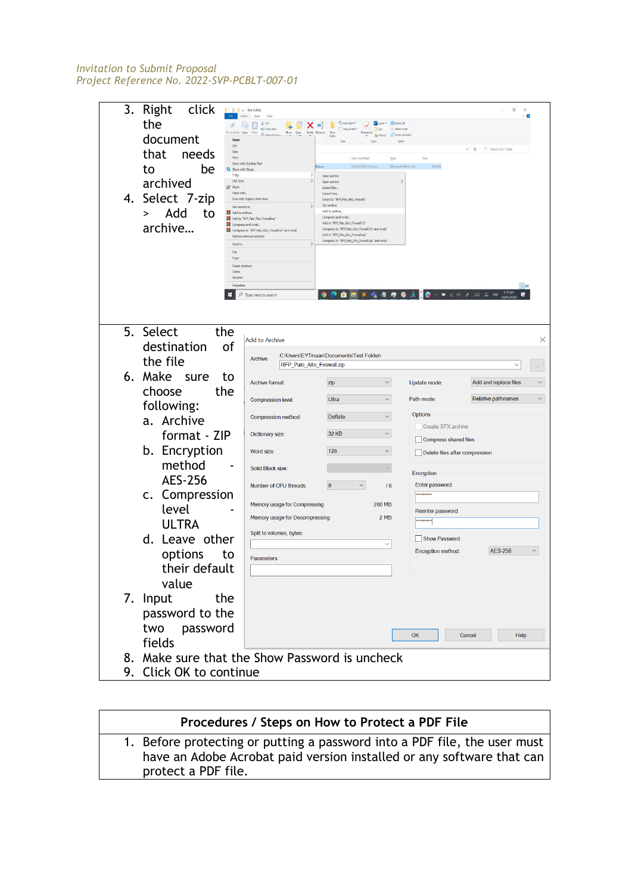| 3. Right<br>click<br><b>RIDE</b> Rest Folde         |                                                                                 |                                                                                          |                                  |                                                          | э                                               |
|-----------------------------------------------------|---------------------------------------------------------------------------------|------------------------------------------------------------------------------------------|----------------------------------|----------------------------------------------------------|-------------------------------------------------|
| the                                                 | & Cut<br>×<br><b>KE</b> Copy path                                               | The New Rem *<br>車                                                                       | - Select all<br>$A$ Edit         |                                                          |                                                 |
| Pin to Quick Copy<br>document<br>Ope                | Move:<br>Delete<br>Copy<br>Gl Basic showers                                     | falder                                                                                   | in <sup>12</sup> Iment selection |                                                          |                                                 |
| Edit<br>New<br>that<br>needs                        |                                                                                 |                                                                                          |                                  |                                                          | $\vee$ <b>D</b> $\heartsuit$ Search Test Folder |
| Print                                               | Open with Sublime Text                                                          | Date modified<br>19/05/2020 3:20 pm<br>ill docx                                          | Type<br>Microsoft Word Doc       | Size<br>158 KB                                           |                                                 |
| to<br>be<br>Share with Skype<br>$7 - Zp$<br>CRC SHA |                                                                                 | Open archive<br>Open archive                                                             |                                  |                                                          |                                                 |
| archived<br>$\mathbf{P}$ Share<br>Open with.        |                                                                                 | Extract files.<br>Extract Here                                                           |                                  |                                                          |                                                 |
| 4. Select 7-zip<br>Give access to                   | Scan with Sophos Anti-Virus                                                     | Extract to "RFP_Palo_Alto_Firewall\"<br>Tost archive                                     |                                  |                                                          |                                                 |
| Add<br>to<br>Add to archive<br>>                    | Add to "RFP_Palo_Alto_Firewall.rar"                                             | Add to archive.<br>Compress and email.<br>Add to "RFP_Palo_Alto_Firewall.7z"             |                                  |                                                          |                                                 |
| Compress and email<br>archive                       | Compress to 'RFP Palo Alto Firewall.rar' and email<br>Restore previous versions | Compress to "RFP_Palo_Alto_Firewall.72" and email<br>Add to "RFP Palo Alto Firewall.zip" |                                  |                                                          |                                                 |
| Send to                                             |                                                                                 | Compress to 'RFP_Palo_Alto_Firewall.zip' and email                                       |                                  |                                                          |                                                 |
| Cut<br>Copy                                         |                                                                                 |                                                                                          |                                  |                                                          |                                                 |
| Create shortcut<br>Delete:                          |                                                                                 |                                                                                          |                                  |                                                          |                                                 |
| Ronamo<br>Properties                                |                                                                                 |                                                                                          |                                  |                                                          | 田島                                              |
| H                                                   | $\rho$ Type here to search                                                      |                                                                                          |                                  | <b>O O O H 5 G &amp; 4 G Q &amp; C</b> ^ " < * > = = m , |                                                 |
|                                                     |                                                                                 |                                                                                          |                                  |                                                          |                                                 |
| 5. Select                                           |                                                                                 |                                                                                          |                                  |                                                          |                                                 |
| the                                                 | Add to Archive                                                                  |                                                                                          |                                  |                                                          | $\times$                                        |
| destination<br>of                                   | Archive:                                                                        | C:\Users\EYTinaan\Documents\Test Folder\                                                 |                                  |                                                          |                                                 |
| the file                                            | RFP_Palo_Alto_Firewall.zip                                                      |                                                                                          |                                  |                                                          |                                                 |
| 6. Make sure<br>to                                  | Archive format:                                                                 | zip                                                                                      | $\checkmark$                     | Update mode:                                             | Add and replace files<br>$\checkmark$           |
| choose<br>the                                       | <b>Compression level:</b>                                                       | Ultra                                                                                    | $\checkmark$                     | Path mode:                                               | $\checkmark$<br>Relative pathnames              |
| following:                                          |                                                                                 |                                                                                          |                                  |                                                          |                                                 |
| a. Archive                                          | Compression method:                                                             | Deflate                                                                                  | $\checkmark$                     | Options<br>Create SFX archive                            |                                                 |
| format - ZIP                                        | Dictionary size:                                                                | 32 KB                                                                                    | $\checkmark$                     | Compress shared files                                    |                                                 |
| b. Encryption                                       | Word size:                                                                      | 128                                                                                      | $\checkmark$                     | Delete files after compression                           |                                                 |
| method                                              |                                                                                 |                                                                                          |                                  |                                                          |                                                 |
| <b>AES-256</b>                                      | Solid Block size:                                                               |                                                                                          |                                  | Encryption                                               |                                                 |
|                                                     | Number of CPU threads:                                                          | $\checkmark$<br>$\overline{\mathbf{8}}$                                                  | 18                               | Enter password:<br>********                              |                                                 |
| c. Compression                                      | Memory usage for Compressing:                                                   |                                                                                          | <b>260 MB</b>                    |                                                          |                                                 |
| level                                               | Memory usage for Decompressing:                                                 |                                                                                          | 2MB                              | Reenter password:<br>********                            |                                                 |
| <b>ULTRA</b>                                        | Split to volumes, bytes:                                                        |                                                                                          |                                  |                                                          |                                                 |
| d. Leave other                                      |                                                                                 |                                                                                          | $\checkmark$                     | <b>Show Password</b>                                     |                                                 |
| options<br>to                                       | Parameters:                                                                     |                                                                                          |                                  | Encryption method:                                       | <b>AES-256</b><br>$\checkmark$                  |
| their default                                       |                                                                                 |                                                                                          |                                  |                                                          |                                                 |
| value                                               |                                                                                 |                                                                                          |                                  |                                                          |                                                 |
| 7. Input<br>the                                     |                                                                                 |                                                                                          |                                  |                                                          |                                                 |
| password to the                                     |                                                                                 |                                                                                          |                                  |                                                          |                                                 |
| two password                                        |                                                                                 |                                                                                          |                                  |                                                          |                                                 |
| fields                                              |                                                                                 |                                                                                          |                                  | OK                                                       | Cancel<br>Help                                  |
|                                                     |                                                                                 |                                                                                          |                                  |                                                          |                                                 |
| 8. Make sure that the Show Password is uncheck      |                                                                                 |                                                                                          |                                  |                                                          |                                                 |
| 9. Click OK to continue                             |                                                                                 |                                                                                          |                                  |                                                          |                                                 |

# **Procedures / Steps on How to Protect a PDF File** 1. Before protecting or putting a password into a PDF file, the user must have an Adobe Acrobat paid version installed or any software that can protect a PDF file.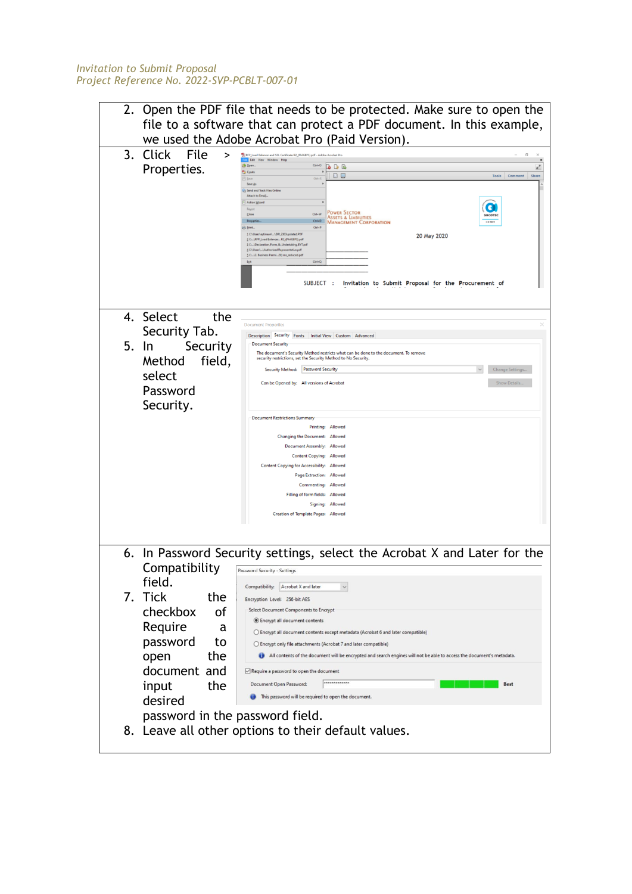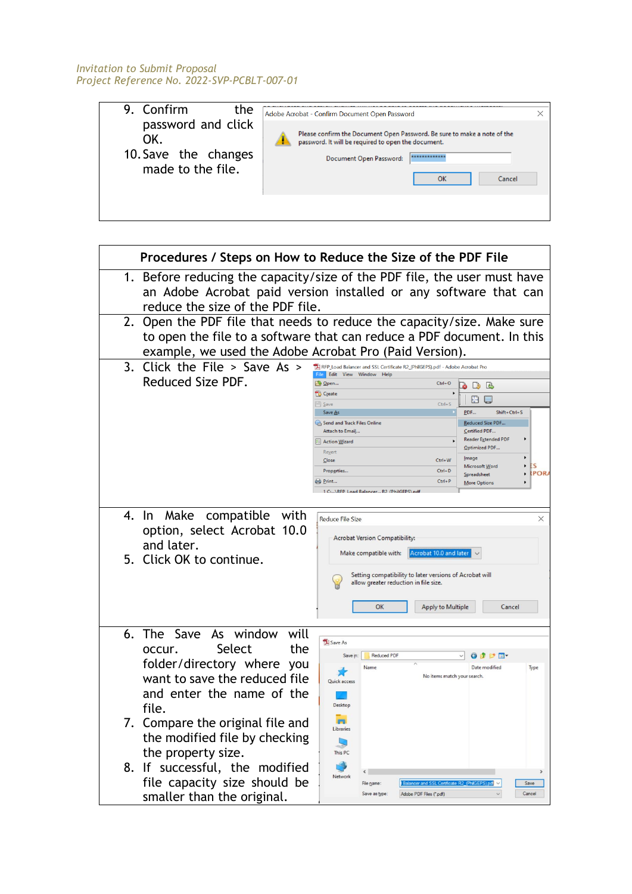| 9. Confirm<br>the                                                      | Adobe Acrobat - Confirm Document Open Password                                                                                                                                              |  |
|------------------------------------------------------------------------|---------------------------------------------------------------------------------------------------------------------------------------------------------------------------------------------|--|
| password and click<br>OK.<br>10. Save the changes<br>made to the file. | Please confirm the Document Open Password. Be sure to make a note of the<br>password. It will be required to open the document.<br>*************<br>Document Open Password:<br>OK<br>Cancel |  |
|                                                                        |                                                                                                                                                                                             |  |

ī

|                                                                                                                                                                                         | Procedures / Steps on How to Reduce the Size of the PDF File                                                                                                                                                                                                                                                                                                                                                                                                                                                                                                                                                                                                                                                                        |
|-----------------------------------------------------------------------------------------------------------------------------------------------------------------------------------------|-------------------------------------------------------------------------------------------------------------------------------------------------------------------------------------------------------------------------------------------------------------------------------------------------------------------------------------------------------------------------------------------------------------------------------------------------------------------------------------------------------------------------------------------------------------------------------------------------------------------------------------------------------------------------------------------------------------------------------------|
| 1.<br>reduce the size of the PDF file.                                                                                                                                                  | Before reducing the capacity/size of the PDF file, the user must have<br>an Adobe Acrobat paid version installed or any software that can                                                                                                                                                                                                                                                                                                                                                                                                                                                                                                                                                                                           |
| 2.<br>example, we used the Adobe Acrobat Pro (Paid Version).                                                                                                                            | Open the PDF file that needs to reduce the capacity/size. Make sure<br>to open the file to a software that can reduce a PDF document. In this                                                                                                                                                                                                                                                                                                                                                                                                                                                                                                                                                                                       |
| $\overline{3}$ .<br>Click the File $>$ Save As $>$<br>Reduced Size PDF.                                                                                                                 | RFP_Load Balancer and SSL Certificate R2_(PhilGEPS).pdf - Adobe Acrobat Pro<br>ile Edit View Window Help<br>Open<br>$Ctrl + O$<br>$\triangleright$ $\triangleright$<br><b>Create</b><br>t d<br><b>E</b> Save<br>$Ctrl + S$<br>Save As<br>PDF<br>Shift+Ctrl+S<br>Send and Track Files Online<br>Reduced Size PDF<br>Attach to Email<br>Certified PDF<br><b>Reader Extended PDF</b><br>$\mathbf{r}$<br>Action Wizard<br>Optimized PDF<br>Revert<br>$\blacktriangleright$<br>Image<br>Close<br>Ctrl+W<br>$\blacktriangleright$<br>ΕS<br>Microsoft Word<br>Properties<br>$Ctrl + D$<br><b>RPOR</b><br>$\blacktriangleright$<br>Spreadsheet<br>$Ctrl + P$<br>Print<br><b>More Options</b><br>1 C:  VREP   pad Balancer R2 (PhilGEPS).pdf |
| Make<br>compatible with<br>4. In<br>option, select Acrobat 10.0<br>and later.<br>5. Click OK to continue.                                                                               | <b>Reduce File Size</b><br>X<br><b>Acrobat Version Compatibility:</b><br>Acrobat 10.0 and later<br>Make compatible with:<br>Setting compatibility to later versions of Acrobat will<br>allow greater reduction in file size.<br>OK<br><b>Apply to Multiple</b><br>Cancel                                                                                                                                                                                                                                                                                                                                                                                                                                                            |
| 6. The Save<br>As window<br>will<br>Select<br>the<br>occur.<br>folder/directory where you<br>want to save the reduced file<br>and enter the name of the<br>file.                        | Save As<br>Reduced PDF<br>GD PE-<br>Save in:<br>Date modified<br>Name<br>Type<br>No items match your search.<br>Quick access<br>Desktop                                                                                                                                                                                                                                                                                                                                                                                                                                                                                                                                                                                             |
| 7. Compare the original file and<br>the modified file by checking<br>the property size.<br>8. If successful, the modified<br>file capacity size should be<br>smaller than the original. | <b>CONT</b><br>Libraries<br>This PC<br>Network<br>Balancer and SSL Certificate R2_(PhilGEPS) pdf<br>Save<br>File name:<br>Save as type:<br>Adobe PDF Files (*.pdf)<br>Cancel                                                                                                                                                                                                                                                                                                                                                                                                                                                                                                                                                        |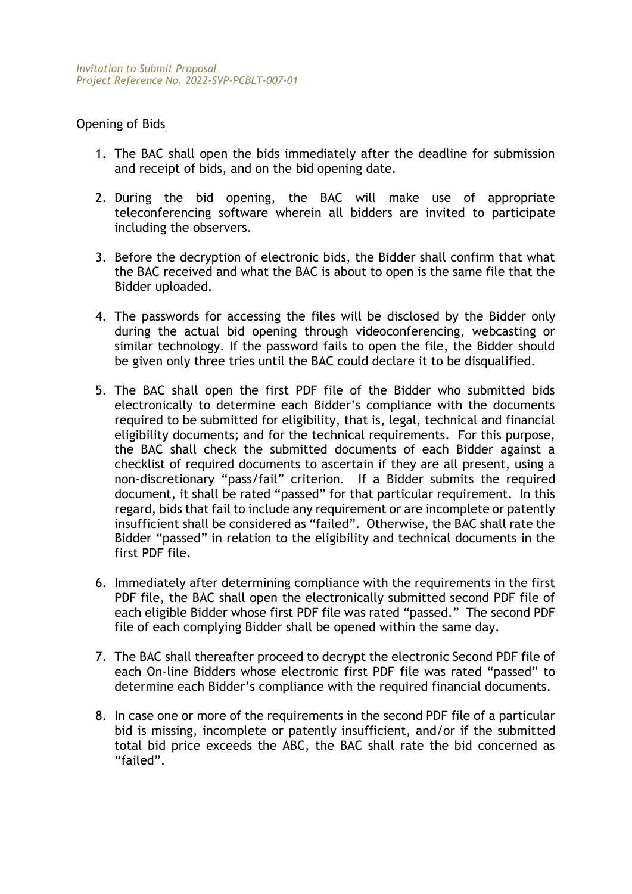# Opening of Bids

- 1. The BAC shall open the bids immediately after the deadline for submission and receipt of bids, and on the bid opening date.
- 2. During the bid opening, the BAC will make use of appropriate teleconferencing software wherein all bidders are invited to participate including the observers.
- 3. Before the decryption of electronic bids, the Bidder shall confirm that what the BAC received and what the BAC is about to open is the same file that the Bidder uploaded.
- 4. The passwords for accessing the files will be disclosed by the Bidder only during the actual bid opening through videoconferencing, webcasting or similar technology. If the password fails to open the file, the Bidder should be given only three tries until the BAC could declare it to be disqualified.
- 5. The BAC shall open the first PDF file of the Bidder who submitted bids electronically to determine each Bidder's compliance with the documents required to be submitted for eligibility, that is, legal, technical and financial eligibility documents; and for the technical requirements. For this purpose, the BAC shall check the submitted documents of each Bidder against a checklist of required documents to ascertain if they are all present, using a non-discretionary "pass/fail" criterion. If a Bidder submits the required document, it shall be rated "passed" for that particular requirement. In this regard, bids that fail to include any requirement or are incomplete or patently insufficient shall be considered as "failed". Otherwise, the BAC shall rate the Bidder "passed" in relation to the eligibility and technical documents in the first PDF file.
- 6. Immediately after determining compliance with the requirements in the first PDF file, the BAC shall open the electronically submitted second PDF file of each eligible Bidder whose first PDF file was rated "passed." The second PDF file of each complying Bidder shall be opened within the same day.
- 7. The BAC shall thereafter proceed to decrypt the electronic Second PDF file of each On-line Bidders whose electronic first PDF file was rated "passed" to determine each Bidder's compliance with the required financial documents.
- 8. In case one or more of the requirements in the second PDF file of a particular bid is missing, incomplete or patently insufficient, and/or if the submitted total bid price exceeds the ABC, the BAC shall rate the bid concerned as "failed".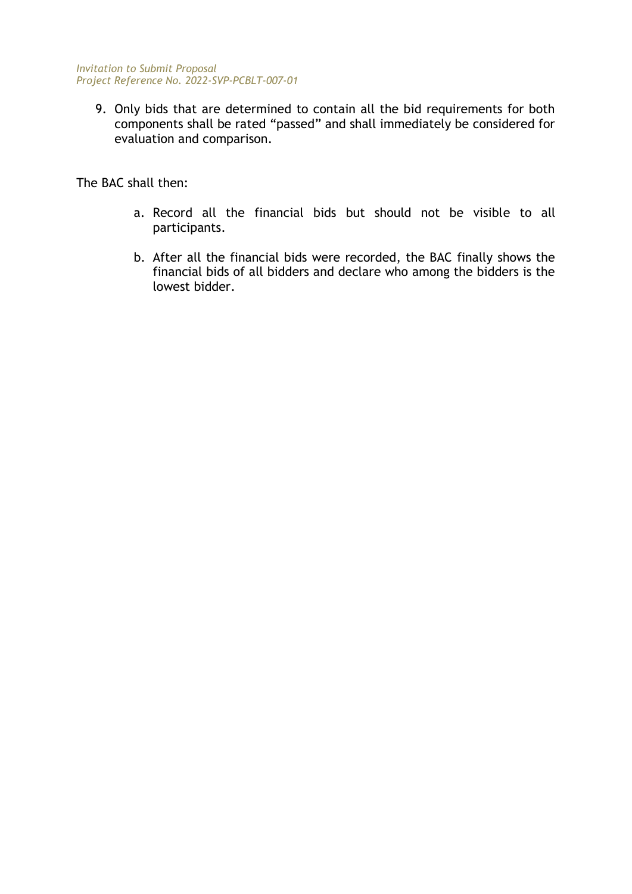9. Only bids that are determined to contain all the bid requirements for both components shall be rated "passed" and shall immediately be considered for evaluation and comparison.

The BAC shall then:

- a. Record all the financial bids but should not be visible to all participants.
- b. After all the financial bids were recorded, the BAC finally shows the financial bids of all bidders and declare who among the bidders is the lowest bidder.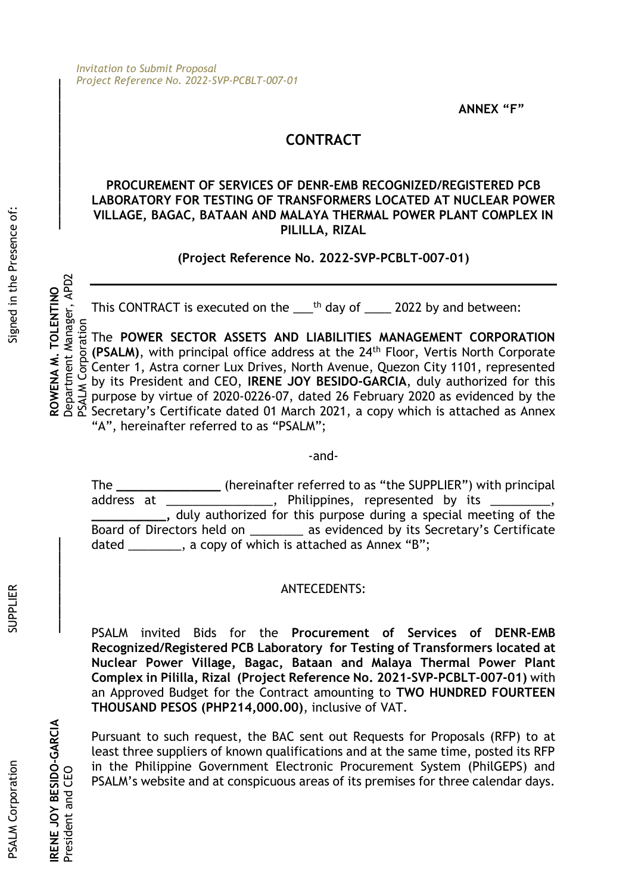**ANNEX "F"**

# **CONTRACT**

#### **PROCUREMENT OF SERVICES OF DENR-EMB RECOGNIZED/REGISTERED PCB LABORATORY FOR TESTING OF TRANSFORMERS LOCATED AT NUCLEAR POWER VILLAGE, BAGAC, BATAAN AND MALAYA THERMAL POWER PLANT COMPLEX IN PILILLA, RIZAL**

**(Project Reference No. 2022-SVP-PCBLT-007-01)**

This CONTRACT is executed on the  $\frac{th}{200}$  day of  $\frac{2022}{th}$  by and between:

ROWENA M. TOLENTINO<br>Department Manager, APD2<br>PSALM Corporation President and CEO<br>President and CEO PSALM Corporation The **POWER SECTOR ASSETS AND LIABILITIES MANAGEMENT CORPORATION (PSALM)**, with principal office address at the 24th Floor, Vertis North Corporate Center 1, Astra corner Lux Drives, North Avenue, Quezon City 1101, represented by its President and CEO, **IRENE JOY BESIDO-GARCIA**, duly authorized for this purpose by virtue of 2020-0226-07, dated 26 February 2020 as evidenced by the Secretary's Certificate dated 01 March 2021, a copy which is attached as Annex "A", hereinafter referred to as "PSALM";

-and-

The **\_\_\_\_\_\_\_\_\_\_\_\_\_\_** (hereinafter referred to as "the SUPPLIER") with principal address at \_\_\_\_\_\_\_\_\_\_\_\_\_\_\_, Philippines, represented by its **\_\_\_\_\_\_\_\_\_\_,** duly authorized for this purpose during a special meeting of the Board of Directors held on \_\_\_\_\_\_\_\_ as evidenced by its Secretary's Certificate dated \_\_\_\_\_\_\_, a copy of which is attached as Annex "B";

# ANTECEDENTS:

PSALM invited Bids for the **Procurement of Services of DENR-EMB Recognized/Registered PCB Laboratory for Testing of Transformers located at Nuclear Power Village, Bagac, Bataan and Malaya Thermal Power Plant Complex in Pililla, Rizal (Project Reference No. 2021-SVP-PCBLT-007-01)** with an Approved Budget for the Contract amounting to **TWO HUNDRED FOURTEEN THOUSAND PESOS (PHP214,000.00)**, inclusive of VAT.

Pursuant to such request, the BAC sent out Requests for Proposals (RFP) to at least three suppliers of known qualifications and at the same time, posted its RFP in the Philippine Government Electronic Procurement System (PhilGEPS) and PSALM's website and at conspicuous areas of its premises for three calendar days.

SUPPLIER

**IRENE JOY BESIDO-GARCIA**

President and CEO

RENE JOY BESIDO-GARCIA

**\_\_\_\_\_\_\_\_\_\_\_\_\_\_**

**ROWENA M. TOLENTINO** 

**\_\_\_\_\_\_\_\_\_\_\_\_\_\_\_\_\_\_\_\_\_\_**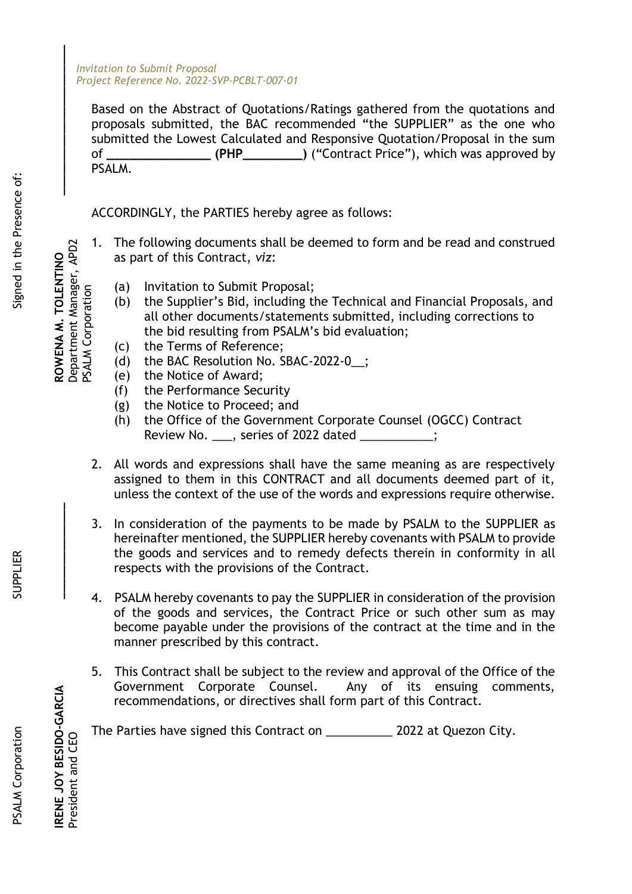Based on the Abstract of Quotations/Ratings gathered from the quotations and proposals submitted, the BAC recommended "the SUPPLIER" as the one who submitted the Lowest Calculated and Responsive Quotation/Proposal in the sum of **\_\_\_\_\_\_\_\_\_\_\_\_\_\_ (PHP\_\_\_\_\_\_\_\_)** ("Contract Price"), which was approved by PSALM.

ACCORDINGLY, the PARTIES hereby agree as follows:

- as part of this Contract, *viz*:
	- (a) Invitation to Submit Proposal;
- 1. The following documents shall be deemed to form and be read and construed<br>
as part of this Contract, viz:<br>  $\begin{array}{ll}\n\frac{6}{96} & \frac{6}{10} \\
\frac{6}{96} & \frac{6}{10} \\
\frac{6}{10} & \frac{6}{10} \\
\frac{6}{10} & \frac{6}{10} \\
\frac{6}{10} & \frac{6}{10} \\
\frac{6}{10} & \frac{$ (b) the Supplier's Bid, including the Technical and Financial Proposals, and all other documents/statements submitted, including corrections to the bid resulting from PSALM's bid evaluation;
	- (c) the Terms of Reference;
	- (d) the BAC Resolution No. SBAC-2022-0\_\_;
		- (e) the Notice of Award;
		- (f) the Performance Security
		- (g) the Notice to Proceed; and
		- (h) the Office of the Government Corporate Counsel (OGCC) Contract Review No. \_\_\_, series of 2022 dated \_\_\_\_\_\_\_\_\_\_\_;
	- 2. All words and expressions shall have the same meaning as are respectively assigned to them in this CONTRACT and all documents deemed part of it, unless the context of the use of the words and expressions require otherwise.
	- 3. In consideration of the payments to be made by PSALM to the SUPPLIER as hereinafter mentioned, the SUPPLIER hereby covenants with PSALM to provide the goods and services and to remedy defects therein in conformity in all respects with the provisions of the Contract.
	- 4. PSALM hereby covenants to pay the SUPPLIER in consideration of the provision of the goods and services, the Contract Price or such other sum as may become payable under the provisions of the contract at the time and in the manner prescribed by this contract.
	- 5. This Contract shall be subject to the review and approval of the Office of the Government Corporate Counsel. Any of its ensuing comments, recommendations, or directives shall form part of this Contract.

The Parties have signed this Contract on \_\_\_\_\_\_\_\_\_\_ 2022 at Quezon City.

President and CEO<br>President and CEO **ROWENA M. TOLENTING** ROWENA M. TOLENTINO PSALM Corporation

Signed in the Presence of:

**\_\_\_\_\_\_\_\_\_\_\_\_\_\_\_\_\_\_\_\_\_\_**

**IRENE JOY BESIDO-GARCIA**

President and CEO

RENE JOY BESIDO-GARCIA

**\_\_\_\_\_\_\_\_\_\_\_\_\_\_**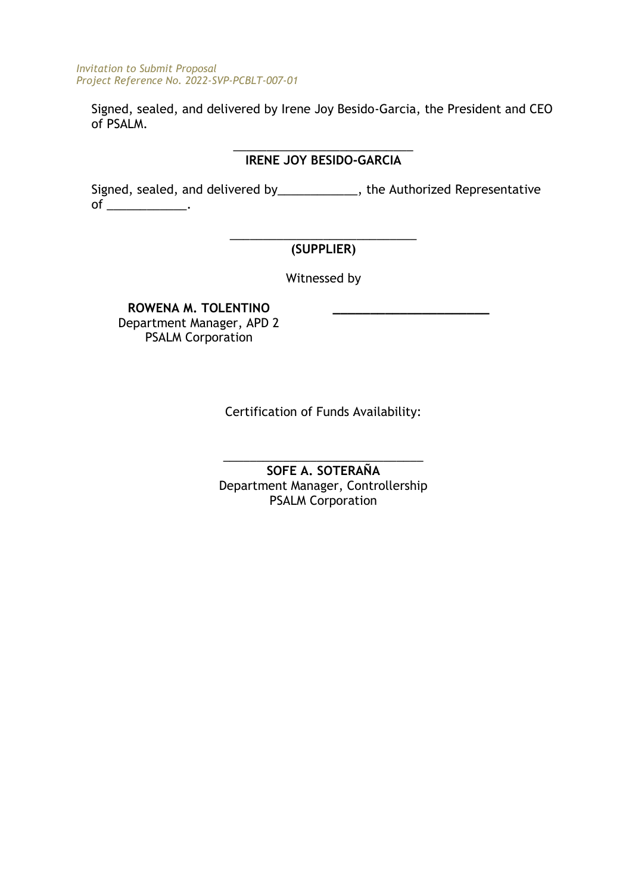Signed, sealed, and delivered by Irene Joy Besido-Garcia, the President and CEO of PSALM.

#### \_\_\_\_\_\_\_\_\_\_\_\_\_\_\_\_\_\_\_\_\_\_\_\_\_\_\_ **IRENE JOY BESIDO-GARCIA**

Signed, sealed, and delivered by\_\_\_\_\_\_\_\_\_\_\_\_, the Authorized Representative of  $\rule{1em}{0.15mm}$  .

#### \_\_\_\_\_\_\_\_\_\_\_\_\_\_\_\_\_\_\_\_\_\_\_\_\_\_\_\_ **(SUPPLIER)**

Witnessed by

**\_\_\_\_\_\_\_\_\_\_\_\_\_\_\_\_\_\_\_\_\_**

**ROWENA M. TOLENTINO** Department Manager, APD 2 PSALM Corporation

Certification of Funds Availability:

\_\_\_\_\_\_\_\_\_\_\_\_\_\_\_\_\_\_\_\_\_\_\_\_\_\_\_\_\_\_ **SOFE A. SOTERAÑA** Department Manager, Controllership PSALM Corporation